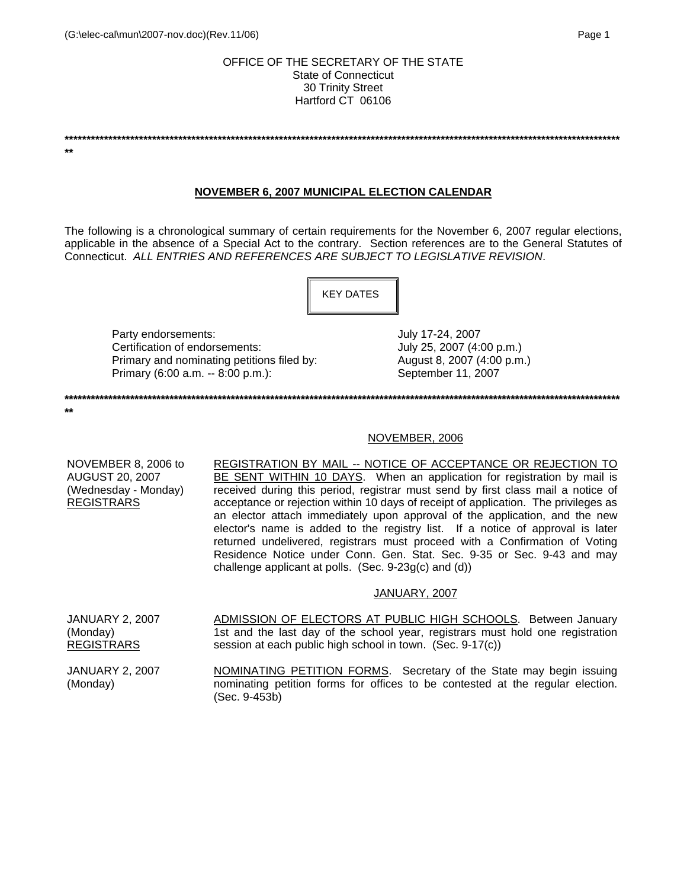### OFFICE OF THE SECRETARY OF THE STATE State of Connecticut 30 Trinity Street Hartford CT 06106

**\*\*\*\*\*\*\*\*\*\*\*\*\*\*\*\*\*\*\*\*\*\*\*\*\*\*\*\*\*\*\*\*\*\*\*\*\*\*\*\*\*\*\*\*\*\*\*\*\*\*\*\*\*\*\*\*\*\*\*\*\*\*\*\*\*\*\*\*\*\*\*\*\*\*\*\*\*\*\*\*\*\*\*\*\*\*\*\*\*\*\*\*\*\*\*\*\*\*\*\*\*\*\*\*\*\*\*\*\*\*\*\*\*\*\*\*\*\*\*\*\*\*\*\*\*\*\* \*\* NOVEMBER 6, 2007 MUNICIPAL ELECTION CALENDAR** The following is a chronological summary of certain requirements for the November 6, 2007 regular elections, applicable in the absence of a Special Act to the contrary. Section references are to the General Statutes of Connecticut. *ALL ENTRIES AND REFERENCES ARE SUBJECT TO LEGISLATIVE REVISION*. Party endorsements:  $July 17-24, 2007$ Certification of endorsements:  $July 25, 2007 (4:00 p.m.)$ Primary and nominating petitions filed by:  $\mu$  August 8, 2007 (4:00 p.m.) Primary (6:00 a.m. -- 8:00 p.m.): September 11, 2007 **\*\*\*\*\*\*\*\*\*\*\*\*\*\*\*\*\*\*\*\*\*\*\*\*\*\*\*\*\*\*\*\*\*\*\*\*\*\*\*\*\*\*\*\*\*\*\*\*\*\*\*\*\*\*\*\*\*\*\*\*\*\*\*\*\*\*\*\*\*\*\*\*\*\*\*\*\*\*\*\*\*\*\*\*\*\*\*\*\*\*\*\*\*\*\*\*\*\*\*\*\*\*\*\*\*\*\*\*\*\*\*\*\*\*\*\*\*\*\*\*\*\*\*\*\*\*\* \*\*** NOVEMBER, 2006 NOVEMBER 8, 2006 to AUGUST 20, 2007 (Wednesday - Monday) REGISTRARS REGISTRATION BY MAIL -- NOTICE OF ACCEPTANCE OR REJECTION TO BE SENT WITHIN 10 DAYS. When an application for registration by mail is received during this period, registrar must send by first class mail a notice of acceptance or rejection within 10 days of receipt of application. The privileges as an elector attach immediately upon approval of the application, and the new elector's name is added to the registry list. If a notice of approval is later returned undelivered, registrars must proceed with a Confirmation of Voting Residence Notice under Conn. Gen. Stat. Sec. 9-35 or Sec. 9-43 and may challenge applicant at polls. (Sec. 9-23g(c) and (d)) JANUARY, 2007 JANUARY 2, 2007 (Monday) REGISTRARS ADMISSION OF ELECTORS AT PUBLIC HIGH SCHOOLS. Between January 1st and the last day of the school year, registrars must hold one registration session at each public high school in town. (Sec. 9-17(c)) JANUARY 2, 2007 (Monday) NOMINATING PETITION FORMS. Secretary of the State may begin issuing nominating petition forms for offices to be contested at the regular election. (Sec. 9-453b) KEY DATES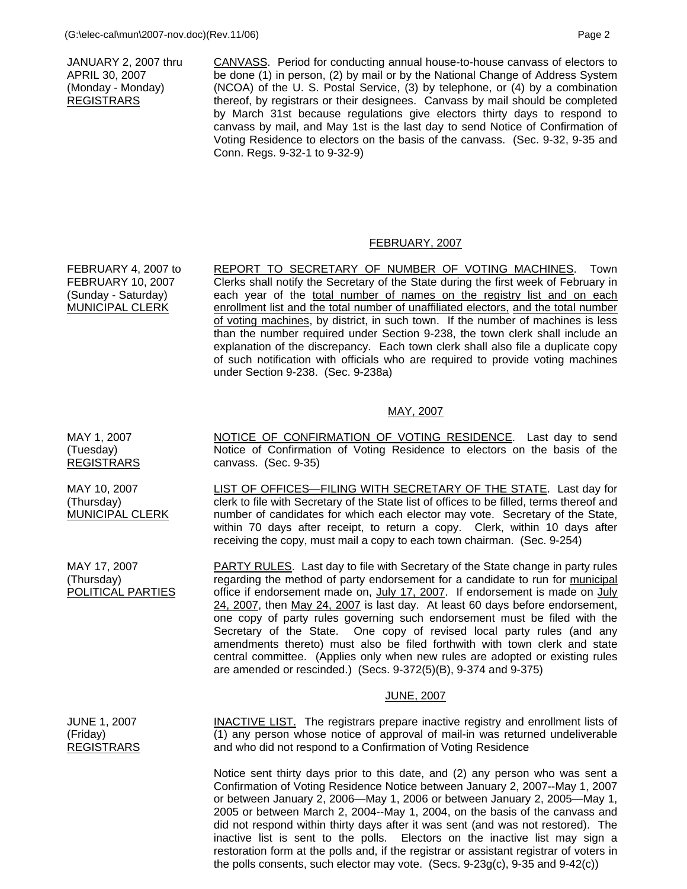JANUARY 2, 2007 thru APRIL 30, 2007 (Monday - Monday) REGISTRARS

CANVASS. Period for conducting annual house-to-house canvass of electors to be done (1) in person, (2) by mail or by the National Change of Address System (NCOA) of the U. S. Postal Service, (3) by telephone, or (4) by a combination thereof, by registrars or their designees. Canvass by mail should be completed by March 31st because regulations give electors thirty days to respond to canvass by mail, and May 1st is the last day to send Notice of Confirmation of Voting Residence to electors on the basis of the canvass. (Sec. 9-32, 9-35 and Conn. Regs. 9-32-1 to 9-32-9)

# FEBRUARY, 2007

FEBRUARY 4, 2007 to FEBRUARY 10, 2007 (Sunday - Saturday) MUNICIPAL CLERK REPORT TO SECRETARY OF NUMBER OF VOTING MACHINES. Town Clerks shall notify the Secretary of the State during the first week of February in each year of the total number of names on the registry list and on each enrollment list and the total number of unaffiliated electors, and the total number of voting machines, by district, in such town. If the number of machines is less than the number required under Section 9-238, the town clerk shall include an explanation of the discrepancy. Each town clerk shall also file a duplicate copy of such notification with officials who are required to provide voting machines under Section 9-238. (Sec. 9-238a)

### MAY, 2007

NOTICE OF CONFIRMATION OF VOTING RESIDENCE. Last day to send Notice of Confirmation of Voting Residence to electors on the basis of the canvass. (Sec. 9-35)

> LIST OF OFFICES-FILING WITH SECRETARY OF THE STATE. Last day for clerk to file with Secretary of the State list of offices to be filled, terms thereof and number of candidates for which each elector may vote. Secretary of the State, within 70 days after receipt, to return a copy. Clerk, within 10 days after receiving the copy, must mail a copy to each town chairman. (Sec. 9-254)

PARTY RULES. Last day to file with Secretary of the State change in party rules regarding the method of party endorsement for a candidate to run for municipal office if endorsement made on, July 17, 2007. If endorsement is made on July 24, 2007, then May 24, 2007 is last day. At least 60 days before endorsement, one copy of party rules governing such endorsement must be filed with the Secretary of the State. One copy of revised local party rules (and any amendments thereto) must also be filed forthwith with town clerk and state central committee. (Applies only when new rules are adopted or existing rules are amended or rescinded.) (Secs. 9-372(5)(B), 9-374 and 9-375)

#### JUNE, 2007

INACTIVE LIST. The registrars prepare inactive registry and enrollment lists of (1) any person whose notice of approval of mail-in was returned undeliverable and who did not respond to a Confirmation of Voting Residence

> Notice sent thirty days prior to this date, and (2) any person who was sent a Confirmation of Voting Residence Notice between January 2, 2007--May 1, 2007 or between January 2, 2006—May 1, 2006 or between January 2, 2005—May 1, 2005 or between March 2, 2004--May 1, 2004, on the basis of the canvass and did not respond within thirty days after it was sent (and was not restored). The inactive list is sent to the polls. Electors on the inactive list may sign a restoration form at the polls and, if the registrar or assistant registrar of voters in the polls consents, such elector may vote. (Secs. 9-23g(c), 9-35 and 9-42(c))

MAY 1, 2007 (Tuesday) REGISTRARS

MAY 10, 2007 (Thursday) MUNICIPAL CLERK

MAY 17, 2007 (Thursday) POLITICAL PARTIES

JUNE 1, 2007 (Friday) **REGISTRARS**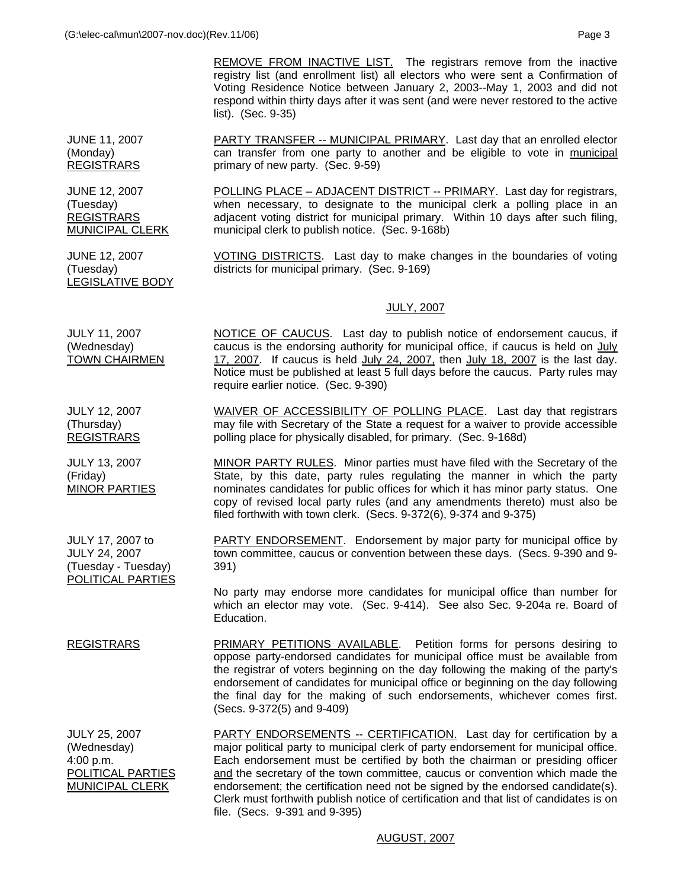JUNE 11, 2007 (Monday) **REGISTRARS** PARTY TRANSFER -- MUNICIPAL PRIMARY. Last day that an enrolled elector can transfer from one party to another and be eligible to vote in municipal primary of new party. (Sec. 9-59)

> POLLING PLACE – ADJACENT DISTRICT -- PRIMARY. Last day for registrars, when necessary, to designate to the municipal clerk a polling place in an adjacent voting district for municipal primary. Within 10 days after such filing, municipal clerk to publish notice. (Sec. 9-168b)

VOTING DISTRICTS. Last day to make changes in the boundaries of voting districts for municipal primary. (Sec. 9-169)

#### JULY, 2007

JULY 11, 2007 (Wednesday) TOWN CHAIRMEN NOTICE OF CAUCUS. Last day to publish notice of endorsement caucus, if caucus is the endorsing authority for municipal office, if caucus is held on July 17, 2007. If caucus is held July 24, 2007, then July 18, 2007 is the last day. Notice must be published at least 5 full days before the caucus. Party rules may require earlier notice. (Sec. 9-390)

> WAIVER OF ACCESSIBILITY OF POLLING PLACE. Last day that registrars may file with Secretary of the State a request for a waiver to provide accessible polling place for physically disabled, for primary. (Sec. 9-168d)

MINOR PARTY RULES. Minor parties must have filed with the Secretary of the State, by this date, party rules regulating the manner in which the party nominates candidates for public offices for which it has minor party status. One copy of revised local party rules (and any amendments thereto) must also be filed forthwith with town clerk. (Secs. 9-372(6), 9-374 and 9-375)

**PARTY ENDORSEMENT.** Endorsement by major party for municipal office by town committee, caucus or convention between these days. (Secs. 9-390 and 9- 391)

 No party may endorse more candidates for municipal office than number for which an elector may vote. (Sec. 9-414). See also Sec. 9-204a re. Board of Education.

REGISTRARS PRIMARY PETITIONS AVAILABLE. Petition forms for persons desiring to oppose party-endorsed candidates for municipal office must be available from the registrar of voters beginning on the day following the making of the party's endorsement of candidates for municipal office or beginning on the day following the final day for the making of such endorsements, whichever comes first. (Secs. 9-372(5) and 9-409)

JULY 25, 2007 (Wednesday) 4:00 p.m. POLITICAL PARTIES MUNICIPAL CLERK PARTY ENDORSEMENTS -- CERTIFICATION. Last day for certification by a major political party to municipal clerk of party endorsement for municipal office. Each endorsement must be certified by both the chairman or presiding officer and the secretary of the town committee, caucus or convention which made the endorsement; the certification need not be signed by the endorsed candidate(s). Clerk must forthwith publish notice of certification and that list of candidates is on file. (Secs. 9-391 and 9-395)

AUGUST, 2007

JULY 12, 2007 (Thursday) REGISTRARS

JUNE 12, 2007 (Tuesday) REGISTRARS MUNICIPAL CLERK

JUNE 12, 2007 (Tuesday)

LEGISLATIVE BODY

JULY 13, 2007 (Friday) MINOR PARTIES

JULY 17, 2007 to JULY 24, 2007 (Tuesday - Tuesday) POLITICAL PARTIES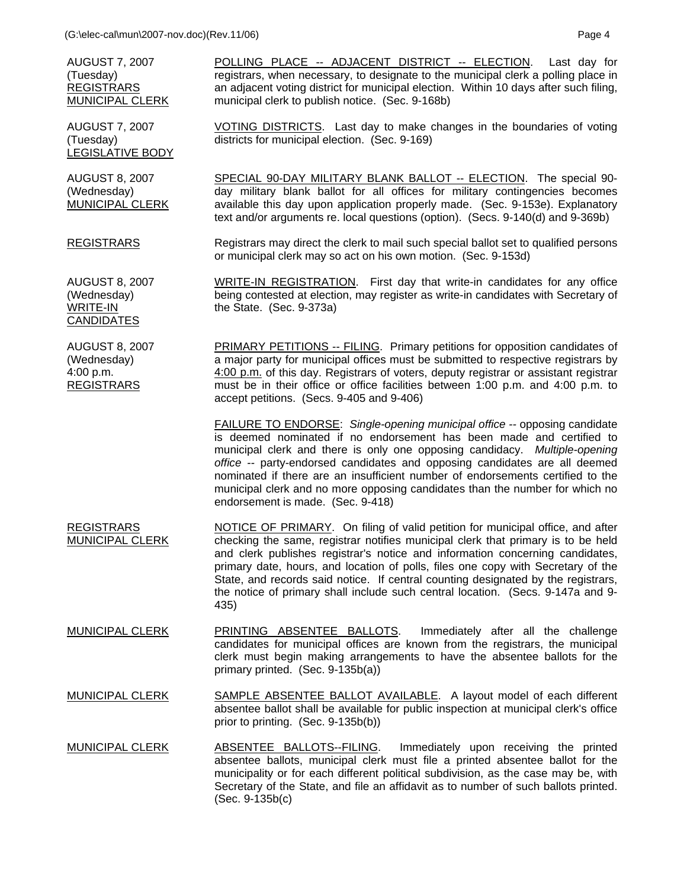AUGUST 7, 2007 (Tuesday) REGISTRARS MUNICIPAL CLERK

AUGUST 7, 2007 (Tuesday) LEGISLATIVE BODY

AUGUST 8, 2007 (Wednesday) MUNICIPAL CLERK

REGISTRARS

AUGUST 8, 2007 (Wednesday) WRITE-IN CANDIDATES

POLLING PLACE -- ADJACENT DISTRICT -- ELECTION. Last day for registrars, when necessary, to designate to the municipal clerk a polling place in an adjacent voting district for municipal election. Within 10 days after such filing, municipal clerk to publish notice. (Sec. 9-168b)

VOTING DISTRICTS. Last day to make changes in the boundaries of voting districts for municipal election. (Sec. 9-169)

SPECIAL 90-DAY MILITARY BLANK BALLOT -- ELECTION. The special 90day military blank ballot for all offices for military contingencies becomes available this day upon application properly made. (Sec. 9-153e). Explanatory text and/or arguments re. local questions (option). (Secs. 9-140(d) and 9-369b)

Registrars may direct the clerk to mail such special ballot set to qualified persons or municipal clerk may so act on his own motion. (Sec. 9-153d)

WRITE-IN REGISTRATION. First day that write-in candidates for any office being contested at election, may register as write-in candidates with Secretary of the State. (Sec. 9-373a)

AUGUST 8, 2007 (Wednesday) 4:00 p.m. REGISTRARS PRIMARY PETITIONS -- FILING. Primary petitions for opposition candidates of a major party for municipal offices must be submitted to respective registrars by 4:00 p.m. of this day. Registrars of voters, deputy registrar or assistant registrar must be in their office or office facilities between 1:00 p.m. and 4:00 p.m. to accept petitions. (Secs. 9-405 and 9-406)

> FAILURE TO ENDORSE: *Single-opening municipal office --* opposing candidate is deemed nominated if no endorsement has been made and certified to municipal clerk and there is only one opposing candidacy. *Multiple-opening office --* party-endorsed candidates and opposing candidates are all deemed nominated if there are an insufficient number of endorsements certified to the municipal clerk and no more opposing candidates than the number for which no endorsement is made. (Sec. 9-418)

- REGISTRARS MUNICIPAL CLERK NOTICE OF PRIMARY. On filing of valid petition for municipal office, and after checking the same, registrar notifies municipal clerk that primary is to be held and clerk publishes registrar's notice and information concerning candidates, primary date, hours, and location of polls, files one copy with Secretary of the State, and records said notice. If central counting designated by the registrars, the notice of primary shall include such central location. (Secs. 9-147a and 9- 435)
- MUNICIPAL CLERK PRINTING ABSENTEE BALLOTS. Immediately after all the challenge candidates for municipal offices are known from the registrars, the municipal clerk must begin making arrangements to have the absentee ballots for the primary printed. (Sec. 9-135b(a))
- MUNICIPAL CLERK SAMPLE ABSENTEE BALLOT AVAILABLE. A layout model of each different absentee ballot shall be available for public inspection at municipal clerk's office prior to printing. (Sec. 9-135b(b))
- MUNICIPAL CLERK ABSENTEE BALLOTS--FILING. Immediately upon receiving the printed absentee ballots, municipal clerk must file a printed absentee ballot for the municipality or for each different political subdivision, as the case may be, with Secretary of the State, and file an affidavit as to number of such ballots printed. (Sec. 9-135b(c)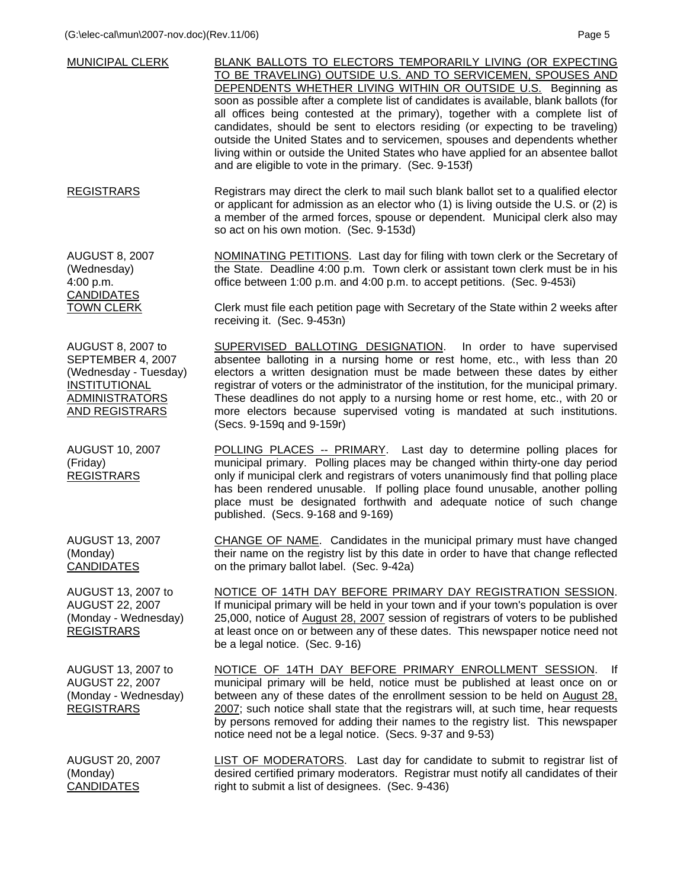| <b>MUNICIPAL CLERK</b>                                                                                                      | BLANK BALLOTS TO ELECTORS TEMPORARILY LIVING (OR EXPECTING<br>TO BE TRAVELING) OUTSIDE U.S. AND TO SERVICEMEN, SPOUSES AND<br>DEPENDENTS WHETHER LIVING WITHIN OR OUTSIDE U.S. Beginning as<br>soon as possible after a complete list of candidates is available, blank ballots (for<br>all offices being contested at the primary), together with a complete list of<br>candidates, should be sent to electors residing (or expecting to be traveling)<br>outside the United States and to servicemen, spouses and dependents whether<br>living within or outside the United States who have applied for an absentee ballot<br>and are eligible to vote in the primary. (Sec. 9-153f) |
|-----------------------------------------------------------------------------------------------------------------------------|----------------------------------------------------------------------------------------------------------------------------------------------------------------------------------------------------------------------------------------------------------------------------------------------------------------------------------------------------------------------------------------------------------------------------------------------------------------------------------------------------------------------------------------------------------------------------------------------------------------------------------------------------------------------------------------|
| <b>REGISTRARS</b>                                                                                                           | Registrars may direct the clerk to mail such blank ballot set to a qualified elector<br>or applicant for admission as an elector who (1) is living outside the U.S. or (2) is<br>a member of the armed forces, spouse or dependent. Municipal clerk also may<br>so act on his own motion. (Sec. 9-153d)                                                                                                                                                                                                                                                                                                                                                                                |
| <b>AUGUST 8, 2007</b><br>(Wednesday)<br>4:00 p.m.<br><b>CANDIDATES</b>                                                      | <b>NOMINATING PETITIONS.</b> Last day for filing with town clerk or the Secretary of<br>the State. Deadline 4:00 p.m. Town clerk or assistant town clerk must be in his<br>office between 1:00 p.m. and 4:00 p.m. to accept petitions. (Sec. 9-453i)                                                                                                                                                                                                                                                                                                                                                                                                                                   |
| <b>TOWN CLERK</b>                                                                                                           | Clerk must file each petition page with Secretary of the State within 2 weeks after<br>receiving it. (Sec. 9-453n)                                                                                                                                                                                                                                                                                                                                                                                                                                                                                                                                                                     |
| AUGUST 8, 2007 to<br>SEPTEMBER 4, 2007<br>(Wednesday - Tuesday)<br>INSTITUTIONAL<br><b>ADMINISTRATORS</b><br>AND REGISTRARS | SUPERVISED BALLOTING DESIGNATION. In order to have supervised<br>absentee balloting in a nursing home or rest home, etc., with less than 20<br>electors a written designation must be made between these dates by either<br>registrar of voters or the administrator of the institution, for the municipal primary.<br>These deadlines do not apply to a nursing home or rest home, etc., with 20 or<br>more electors because supervised voting is mandated at such institutions.<br>(Secs. 9-159q and 9-159r)                                                                                                                                                                         |
| <b>AUGUST 10, 2007</b><br>(Friday)<br><b>REGISTRARS</b>                                                                     | POLLING PLACES -- PRIMARY. Last day to determine polling places for<br>municipal primary. Polling places may be changed within thirty-one day period<br>only if municipal clerk and registrars of voters unanimously find that polling place<br>has been rendered unusable. If polling place found unusable, another polling<br>place must be designated forthwith and adequate notice of such change<br>published. (Secs. 9-168 and 9-169)                                                                                                                                                                                                                                            |
| <b>AUGUST 13, 2007</b><br>(Monday)<br><b>CANDIDATES</b>                                                                     | CHANGE OF NAME. Candidates in the municipal primary must have changed<br>their name on the registry list by this date in order to have that change reflected<br>on the primary ballot label. (Sec. 9-42a)                                                                                                                                                                                                                                                                                                                                                                                                                                                                              |
| AUGUST 13, 2007 to<br><b>AUGUST 22, 2007</b><br>(Monday - Wednesday)<br><b>REGISTRARS</b>                                   | NOTICE OF 14TH DAY BEFORE PRIMARY DAY REGISTRATION SESSION.<br>If municipal primary will be held in your town and if your town's population is over<br>25,000, notice of August 28, 2007 session of registrars of voters to be published<br>at least once on or between any of these dates. This newspaper notice need not<br>be a legal notice. (Sec. 9-16)                                                                                                                                                                                                                                                                                                                           |
| AUGUST 13, 2007 to<br><b>AUGUST 22, 2007</b><br>(Monday - Wednesday)<br><b>REGISTRARS</b>                                   | NOTICE OF 14TH DAY BEFORE PRIMARY ENROLLMENT SESSION.<br>-lf<br>municipal primary will be held, notice must be published at least once on or<br>between any of these dates of the enrollment session to be held on August 28,<br>2007; such notice shall state that the registrars will, at such time, hear requests<br>by persons removed for adding their names to the registry list. This newspaper<br>notice need not be a legal notice. (Secs. 9-37 and 9-53)                                                                                                                                                                                                                     |
| AUGUST 20, 2007<br>(Monday)                                                                                                 | LIST OF MODERATORS. Last day for candidate to submit to registrar list of<br>desired certified primary moderators. Registrar must notify all candidates of their                                                                                                                                                                                                                                                                                                                                                                                                                                                                                                                       |

CANDIDATES

desired certified primary moderators. Registrar must notify all candidates of their right to submit a list of designees. (Sec. 9-436)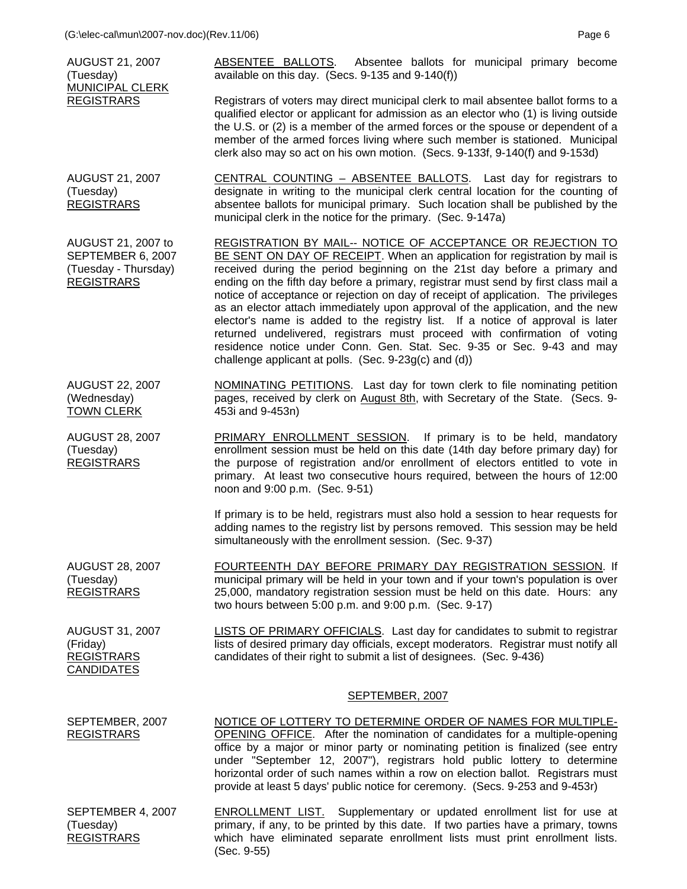| <b>AUGUST 21, 2007</b><br>(Tuesday)                                                  | ABSENTEE BALLOTS. Absentee ballots for municipal primary become<br>available on this day. (Secs. 9-135 and 9-140(f))                                                                                                                                                                                                                                                                                                                                                                                                                                                                                                                                                                                                                                                                    |
|--------------------------------------------------------------------------------------|-----------------------------------------------------------------------------------------------------------------------------------------------------------------------------------------------------------------------------------------------------------------------------------------------------------------------------------------------------------------------------------------------------------------------------------------------------------------------------------------------------------------------------------------------------------------------------------------------------------------------------------------------------------------------------------------------------------------------------------------------------------------------------------------|
| <b>MUNICIPAL CLERK</b><br><b>REGISTRARS</b>                                          | Registrars of voters may direct municipal clerk to mail absentee ballot forms to a<br>qualified elector or applicant for admission as an elector who (1) is living outside<br>the U.S. or (2) is a member of the armed forces or the spouse or dependent of a<br>member of the armed forces living where such member is stationed. Municipal<br>clerk also may so act on his own motion. (Secs. 9-133f, 9-140(f) and 9-153d)                                                                                                                                                                                                                                                                                                                                                            |
| <b>AUGUST 21, 2007</b><br>(Tuesday)<br><b>REGISTRARS</b>                             | CENTRAL COUNTING - ABSENTEE BALLOTS. Last day for registrars to<br>designate in writing to the municipal clerk central location for the counting of<br>absentee ballots for municipal primary. Such location shall be published by the<br>municipal clerk in the notice for the primary. (Sec. 9-147a)                                                                                                                                                                                                                                                                                                                                                                                                                                                                                  |
| AUGUST 21, 2007 to<br>SEPTEMBER 6, 2007<br>(Tuesday - Thursday)<br><b>REGISTRARS</b> | REGISTRATION BY MAIL-- NOTICE OF ACCEPTANCE OR REJECTION TO<br>BE SENT ON DAY OF RECEIPT. When an application for registration by mail is<br>received during the period beginning on the 21st day before a primary and<br>ending on the fifth day before a primary, registrar must send by first class mail a<br>notice of acceptance or rejection on day of receipt of application. The privileges<br>as an elector attach immediately upon approval of the application, and the new<br>elector's name is added to the registry list. If a notice of approval is later<br>returned undelivered, registrars must proceed with confirmation of voting<br>residence notice under Conn. Gen. Stat. Sec. 9-35 or Sec. 9-43 and may<br>challenge applicant at polls. (Sec. 9-23g(c) and (d)) |
| <b>AUGUST 22, 2007</b><br>(Wednesday)<br><b>TOWN CLERK</b>                           | NOMINATING PETITIONS. Last day for town clerk to file nominating petition<br>pages, received by clerk on August 8th, with Secretary of the State. (Secs. 9-<br>453i and 9-453n)                                                                                                                                                                                                                                                                                                                                                                                                                                                                                                                                                                                                         |
| <b>AUGUST 28, 2007</b><br>(Tuesday)<br><b>REGISTRARS</b>                             | PRIMARY ENROLLMENT SESSION. If primary is to be held, mandatory<br>enrollment session must be held on this date (14th day before primary day) for<br>the purpose of registration and/or enrollment of electors entitled to vote in<br>primary. At least two consecutive hours required, between the hours of 12:00<br>noon and 9:00 p.m. (Sec. 9-51)                                                                                                                                                                                                                                                                                                                                                                                                                                    |
|                                                                                      | If primary is to be held, registrars must also hold a session to hear requests for<br>adding names to the registry list by persons removed. This session may be held<br>simultaneously with the enrollment session. (Sec. 9-37)                                                                                                                                                                                                                                                                                                                                                                                                                                                                                                                                                         |
| <b>AUGUST 28, 2007</b><br>(Tuesday)<br><b>REGISTRARS</b>                             | FOURTEENTH DAY BEFORE PRIMARY DAY REGISTRATION SESSION. If<br>municipal primary will be held in your town and if your town's population is over<br>25,000, mandatory registration session must be held on this date. Hours: any<br>two hours between 5:00 p.m. and 9:00 p.m. (Sec. 9-17)                                                                                                                                                                                                                                                                                                                                                                                                                                                                                                |
| AUGUST 31, 2007<br>(Friday)<br><b>REGISTRARS</b><br><b>CANDIDATES</b>                | LISTS OF PRIMARY OFFICIALS. Last day for candidates to submit to registrar<br>lists of desired primary day officials, except moderators. Registrar must notify all<br>candidates of their right to submit a list of designees. (Sec. 9-436)                                                                                                                                                                                                                                                                                                                                                                                                                                                                                                                                             |
|                                                                                      | SEPTEMBER, 2007                                                                                                                                                                                                                                                                                                                                                                                                                                                                                                                                                                                                                                                                                                                                                                         |
| SEPTEMBER, 2007<br><b>REGISTRARS</b>                                                 | NOTICE OF LOTTERY TO DETERMINE ORDER OF NAMES FOR MULTIPLE-<br>OPENING OFFICE. After the nomination of candidates for a multiple-opening<br>office by a major or minor party or nominating petition is finalized (see entry<br>under "September 12, 2007"), registrars hold public lottery to determine<br>horizontal order of such names within a row on election ballot. Registrars must<br>provide at least 5 days' public notice for ceremony. (Secs. 9-253 and 9-453r)                                                                                                                                                                                                                                                                                                             |
| SEPTEMBER 4, 2007<br>(Tuesday)<br><b>REGISTRARS</b>                                  | <b>ENROLLMENT LIST.</b> Supplementary or updated enrollment list for use at<br>primary, if any, to be printed by this date. If two parties have a primary, towns<br>which have eliminated separate enrollment lists must print enrollment lists.<br>(Sec. 9-55)                                                                                                                                                                                                                                                                                                                                                                                                                                                                                                                         |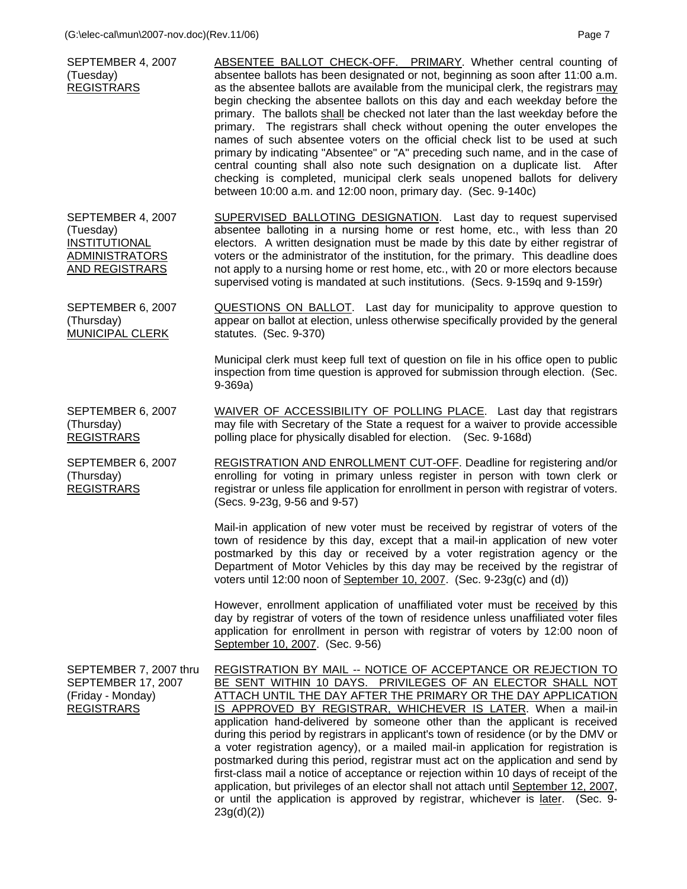| SEPTEMBER 4, 2007<br>(Tuesday)<br><b>REGISTRARS</b>                                                      | ABSENTEE BALLOT CHECK-OFF. PRIMARY. Whether central counting of<br>absentee ballots has been designated or not, beginning as soon after 11:00 a.m.<br>as the absentee ballots are available from the municipal clerk, the registrars may<br>begin checking the absentee ballots on this day and each weekday before the<br>primary. The ballots shall be checked not later than the last weekday before the<br>primary. The registrars shall check without opening the outer envelopes the<br>names of such absentee voters on the official check list to be used at such<br>primary by indicating "Absentee" or "A" preceding such name, and in the case of<br>central counting shall also note such designation on a duplicate list. After<br>checking is completed, municipal clerk seals unopened ballots for delivery<br>between 10:00 a.m. and 12:00 noon, primary day. (Sec. 9-140c)          |
|----------------------------------------------------------------------------------------------------------|------------------------------------------------------------------------------------------------------------------------------------------------------------------------------------------------------------------------------------------------------------------------------------------------------------------------------------------------------------------------------------------------------------------------------------------------------------------------------------------------------------------------------------------------------------------------------------------------------------------------------------------------------------------------------------------------------------------------------------------------------------------------------------------------------------------------------------------------------------------------------------------------------|
| SEPTEMBER 4, 2007<br>(Tuesday)<br><b>INSTITUTIONAL</b><br><b>ADMINISTRATORS</b><br><b>AND REGISTRARS</b> | SUPERVISED BALLOTING DESIGNATION. Last day to request supervised<br>absentee balloting in a nursing home or rest home, etc., with less than 20<br>electors. A written designation must be made by this date by either registrar of<br>voters or the administrator of the institution, for the primary. This deadline does<br>not apply to a nursing home or rest home, etc., with 20 or more electors because<br>supervised voting is mandated at such institutions. (Secs. 9-159q and 9-159r)                                                                                                                                                                                                                                                                                                                                                                                                       |
| SEPTEMBER 6, 2007<br>(Thursday)<br><b>MUNICIPAL CLERK</b>                                                | QUESTIONS ON BALLOT. Last day for municipality to approve question to<br>appear on ballot at election, unless otherwise specifically provided by the general<br>statutes. (Sec. 9-370)                                                                                                                                                                                                                                                                                                                                                                                                                                                                                                                                                                                                                                                                                                               |
|                                                                                                          | Municipal clerk must keep full text of question on file in his office open to public<br>inspection from time question is approved for submission through election. (Sec.<br>$9-369a)$                                                                                                                                                                                                                                                                                                                                                                                                                                                                                                                                                                                                                                                                                                                |
| SEPTEMBER 6, 2007<br>(Thursday)<br><b>REGISTRARS</b>                                                     | WAIVER OF ACCESSIBILITY OF POLLING PLACE. Last day that registrars<br>may file with Secretary of the State a request for a waiver to provide accessible<br>polling place for physically disabled for election. (Sec. 9-168d)                                                                                                                                                                                                                                                                                                                                                                                                                                                                                                                                                                                                                                                                         |
| SEPTEMBER 6, 2007<br>(Thursday)<br><b>REGISTRARS</b>                                                     | REGISTRATION AND ENROLLMENT CUT-OFF. Deadline for registering and/or<br>enrolling for voting in primary unless register in person with town clerk or<br>registrar or unless file application for enrollment in person with registrar of voters.<br>(Secs. 9-23g, 9-56 and 9-57)                                                                                                                                                                                                                                                                                                                                                                                                                                                                                                                                                                                                                      |
|                                                                                                          | Mail-in application of new voter must be received by registrar of voters of the<br>town of residence by this day, except that a mail-in application of new voter<br>postmarked by this day or received by a voter registration agency or the<br>Department of Motor Vehicles by this day may be received by the registrar of<br>voters until 12:00 noon of September 10, 2007. (Sec. 9-23g(c) and (d))                                                                                                                                                                                                                                                                                                                                                                                                                                                                                               |
|                                                                                                          | However, enrollment application of unaffiliated voter must be received by this<br>day by registrar of voters of the town of residence unless unaffiliated voter files<br>application for enrollment in person with registrar of voters by 12:00 noon of<br>September 10, 2007. (Sec. 9-56)                                                                                                                                                                                                                                                                                                                                                                                                                                                                                                                                                                                                           |
| SEPTEMBER 7, 2007 thru<br><b>SEPTEMBER 17, 2007</b><br>(Friday - Monday)<br><b>REGISTRARS</b>            | <b>REGISTRATION BY MAIL -- NOTICE OF ACCEPTANCE OR REJECTION TO</b><br>BE SENT WITHIN 10 DAYS. PRIVILEGES OF AN ELECTOR SHALL NOT<br>ATTACH UNTIL THE DAY AFTER THE PRIMARY OR THE DAY APPLICATION<br>IS APPROVED BY REGISTRAR, WHICHEVER IS LATER. When a mail-in<br>application hand-delivered by someone other than the applicant is received<br>during this period by registrars in applicant's town of residence (or by the DMV or<br>a voter registration agency), or a mailed mail-in application for registration is<br>postmarked during this period, registrar must act on the application and send by<br>first-class mail a notice of acceptance or rejection within 10 days of receipt of the<br>application, but privileges of an elector shall not attach until September 12, 2007,<br>or until the application is approved by registrar, whichever is later.<br>(Sec. 9-<br>23g(d)(2) |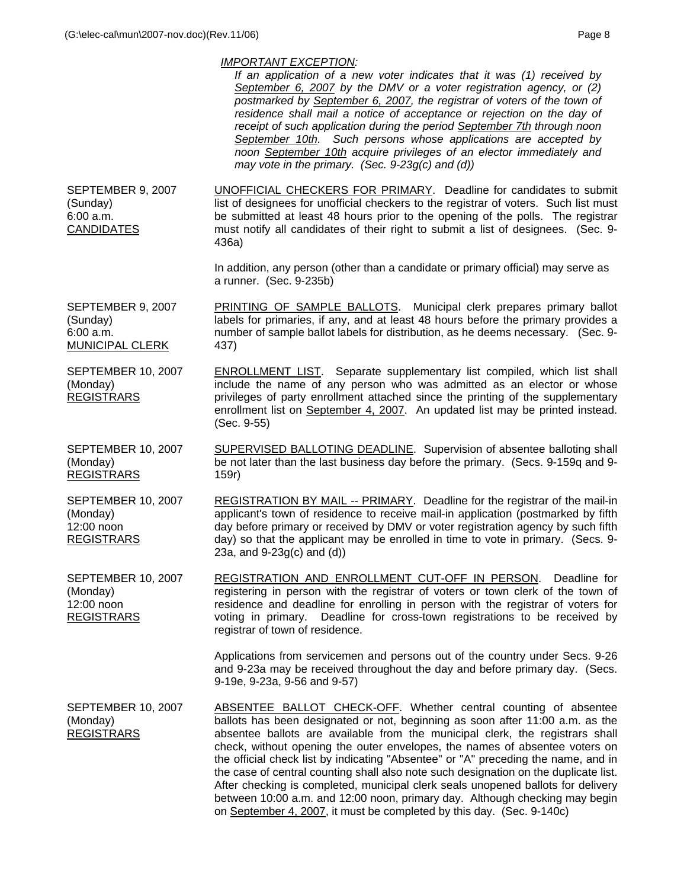|                                                                          | <i>IMPORTANT EXCEPTION:</i><br>If an application of a new voter indicates that it was (1) received by<br>September 6, 2007 by the DMV or a voter registration agency, or (2)<br>postmarked by September 6, 2007, the registrar of voters of the town of<br>residence shall mail a notice of acceptance or rejection on the day of<br>receipt of such application during the period September 7th through noon<br>September 10th. Such persons whose applications are accepted by<br>noon September 10th acquire privileges of an elector immediately and<br>may vote in the primary. (Sec. 9-23g(c) and (d))                                                             |
|--------------------------------------------------------------------------|--------------------------------------------------------------------------------------------------------------------------------------------------------------------------------------------------------------------------------------------------------------------------------------------------------------------------------------------------------------------------------------------------------------------------------------------------------------------------------------------------------------------------------------------------------------------------------------------------------------------------------------------------------------------------|
| SEPTEMBER 9, 2007<br>(Sunday)<br>6:00 a.m.<br><b>CANDIDATES</b>          | <b>UNOFFICIAL CHECKERS FOR PRIMARY.</b> Deadline for candidates to submit<br>list of designees for unofficial checkers to the registrar of voters. Such list must<br>be submitted at least 48 hours prior to the opening of the polls. The registrar<br>must notify all candidates of their right to submit a list of designees. (Sec. 9-<br>436a)                                                                                                                                                                                                                                                                                                                       |
|                                                                          | In addition, any person (other than a candidate or primary official) may serve as<br>a runner. (Sec. 9-235b)                                                                                                                                                                                                                                                                                                                                                                                                                                                                                                                                                             |
| SEPTEMBER 9, 2007<br>(Sunday)<br>6:00 a.m.<br>MUNICIPAL CLERK            | PRINTING OF SAMPLE BALLOTS. Municipal clerk prepares primary ballot<br>labels for primaries, if any, and at least 48 hours before the primary provides a<br>number of sample ballot labels for distribution, as he deems necessary. (Sec. 9-<br>437)                                                                                                                                                                                                                                                                                                                                                                                                                     |
| <b>SEPTEMBER 10, 2007</b><br>(Monday)<br><b>REGISTRARS</b>               | <b>ENROLLMENT LIST.</b> Separate supplementary list compiled, which list shall<br>include the name of any person who was admitted as an elector or whose<br>privileges of party enrollment attached since the printing of the supplementary<br>enrollment list on September 4, 2007. An updated list may be printed instead.<br>(Sec. 9-55)                                                                                                                                                                                                                                                                                                                              |
| <b>SEPTEMBER 10, 2007</b><br>(Monday)<br><b>REGISTRARS</b>               | SUPERVISED BALLOTING DEADLINE. Supervision of absentee balloting shall<br>be not later than the last business day before the primary. (Secs. 9-159q and 9-<br>159r)                                                                                                                                                                                                                                                                                                                                                                                                                                                                                                      |
| <b>SEPTEMBER 10, 2007</b><br>(Monday)<br>12:00 noon<br><b>REGISTRARS</b> | REGISTRATION BY MAIL -- PRIMARY. Deadline for the registrar of the mail-in<br>applicant's town of residence to receive mail-in application (postmarked by fifth<br>day before primary or received by DMV or voter registration agency by such fifth<br>day) so that the applicant may be enrolled in time to vote in primary. (Secs. 9-<br>23a, and $9-23g(c)$ and $(d)$ )                                                                                                                                                                                                                                                                                               |
| <b>SEPTEMBER 10, 2007</b><br>(Monday)<br>12:00 noon<br><b>REGISTRARS</b> | REGISTRATION AND ENROLLMENT CUT-OFF IN PERSON. Deadline for<br>registering in person with the registrar of voters or town clerk of the town of<br>residence and deadline for enrolling in person with the registrar of voters for<br>voting in primary. Deadline for cross-town registrations to be received by<br>registrar of town of residence.                                                                                                                                                                                                                                                                                                                       |
|                                                                          | Applications from servicemen and persons out of the country under Secs. 9-26<br>and 9-23a may be received throughout the day and before primary day. (Secs.<br>9-19e, 9-23a, 9-56 and 9-57)                                                                                                                                                                                                                                                                                                                                                                                                                                                                              |
| <b>SEPTEMBER 10, 2007</b><br>(Monday)<br><b>REGISTRARS</b>               | <b>ABSENTEE BALLOT CHECK-OFF.</b> Whether central counting of absentee<br>ballots has been designated or not, beginning as soon after 11:00 a.m. as the<br>absentee ballots are available from the municipal clerk, the registrars shall<br>check, without opening the outer envelopes, the names of absentee voters on<br>the official check list by indicating "Absentee" or "A" preceding the name, and in<br>the case of central counting shall also note such designation on the duplicate list.<br>After checking is completed, municipal clerk seals unopened ballots for delivery<br>between 10:00 a.m. and 12:00 noon, primary day. Although checking may begin |

on September 4, 2007, it must be completed by this day. (Sec. 9-140c)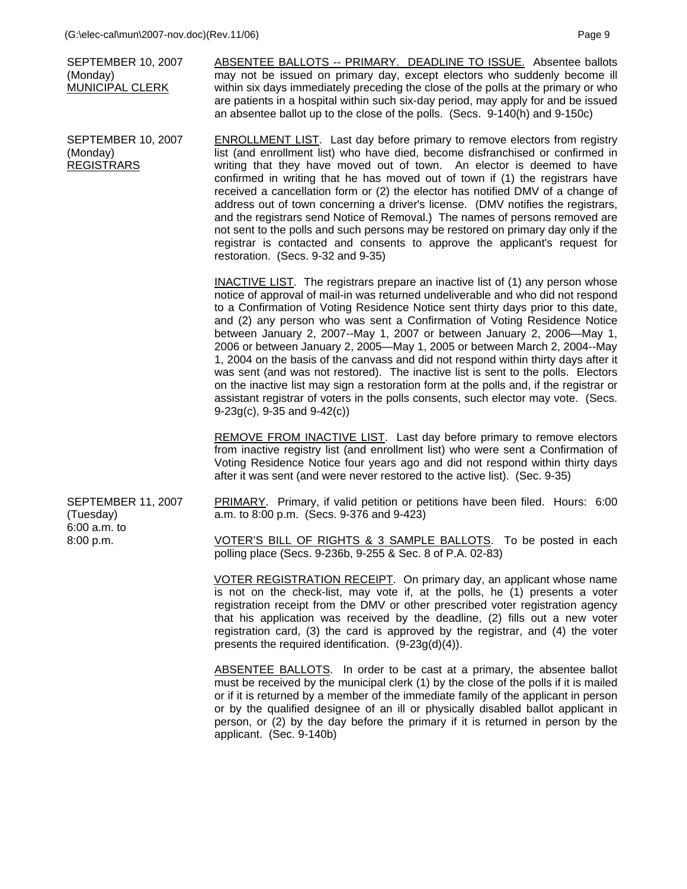|                                                                     | (G:\elec-cal\mun\2007-nov.doc)(Rev.11/06)                                                                                     |                                                                                                                                                                                                                                                                                                                                                                                                                                                                                                                                                                                                                                                                                                                                                                                                                                                                                              | Page 9 |
|---------------------------------------------------------------------|-------------------------------------------------------------------------------------------------------------------------------|----------------------------------------------------------------------------------------------------------------------------------------------------------------------------------------------------------------------------------------------------------------------------------------------------------------------------------------------------------------------------------------------------------------------------------------------------------------------------------------------------------------------------------------------------------------------------------------------------------------------------------------------------------------------------------------------------------------------------------------------------------------------------------------------------------------------------------------------------------------------------------------------|--------|
|                                                                     | <b>SEPTEMBER 10, 2007</b><br>(Monday)<br>MUNICIPAL CLERK                                                                      | ABSENTEE BALLOTS -- PRIMARY. DEADLINE TO ISSUE. Absentee ballots<br>may not be issued on primary day, except electors who suddenly become ill<br>within six days immediately preceding the close of the polls at the primary or who<br>are patients in a hospital within such six-day period, may apply for and be issued<br>an absentee ballot up to the close of the polls. (Secs. 9-140(h) and 9-150c)                                                                                                                                                                                                                                                                                                                                                                                                                                                                                    |        |
| <b>SEPTEMBER 10, 2007</b><br>(Monday)<br><b>REGISTRARS</b>          |                                                                                                                               | <b>ENROLLMENT LIST.</b> Last day before primary to remove electors from registry<br>list (and enrollment list) who have died, become disfranchised or confirmed in<br>writing that they have moved out of town. An elector is deemed to have<br>confirmed in writing that he has moved out of town if (1) the registrars have<br>received a cancellation form or (2) the elector has notified DMV of a change of<br>address out of town concerning a driver's license. (DMV notifies the registrars,<br>and the registrars send Notice of Removal.) The names of persons removed are<br>not sent to the polls and such persons may be restored on primary day only if the<br>registrar is contacted and consents to approve the applicant's request for<br>restoration. (Secs. 9-32 and 9-35)                                                                                                |        |
|                                                                     |                                                                                                                               | INACTIVE LIST. The registrars prepare an inactive list of (1) any person whose<br>notice of approval of mail-in was returned undeliverable and who did not respond<br>to a Confirmation of Voting Residence Notice sent thirty days prior to this date,<br>and (2) any person who was sent a Confirmation of Voting Residence Notice<br>between January 2, 2007--May 1, 2007 or between January 2, 2006-May 1,<br>2006 or between January 2, 2005-May 1, 2005 or between March 2, 2004--May<br>1, 2004 on the basis of the canvass and did not respond within thirty days after it<br>was sent (and was not restored). The inactive list is sent to the polls. Electors<br>on the inactive list may sign a restoration form at the polls and, if the registrar or<br>assistant registrar of voters in the polls consents, such elector may vote. (Secs.<br>$9-23g(c)$ , 9-35 and $9-42(c)$ ) |        |
|                                                                     |                                                                                                                               | <b>REMOVE FROM INACTIVE LIST.</b> Last day before primary to remove electors<br>from inactive registry list (and enrollment list) who were sent a Confirmation of<br>Voting Residence Notice four years ago and did not respond within thirty days<br>after it was sent (and were never restored to the active list). (Sec. 9-35)                                                                                                                                                                                                                                                                                                                                                                                                                                                                                                                                                            |        |
| <b>SEPTEMBER 11, 2007</b><br>(Tuesday)<br>6:00 a.m. to<br>8:00 p.m. |                                                                                                                               | PRIMARY. Primary, if valid petition or petitions have been filed. Hours: 6:00<br>a.m. to 8:00 p.m. (Secs. 9-376 and 9-423)                                                                                                                                                                                                                                                                                                                                                                                                                                                                                                                                                                                                                                                                                                                                                                   |        |
|                                                                     | VOTER'S BILL OF RIGHTS & 3 SAMPLE BALLOTS. To be posted in each<br>polling place (Secs. 9-236b, 9-255 & Sec. 8 of P.A. 02-83) |                                                                                                                                                                                                                                                                                                                                                                                                                                                                                                                                                                                                                                                                                                                                                                                                                                                                                              |        |
|                                                                     |                                                                                                                               | VOTER REGISTRATION RECEIPT. On primary day, an applicant whose name<br>is not on the check-list, may vote if, at the polls, he (1) presents a voter<br>registration receipt from the DMV or other prescribed voter registration agency<br>that his application was received by the deadline, (2) fills out a new voter<br>registration card, (3) the card is approved by the registrar, and (4) the voter<br>presents the required identification. $(9-23g(d)(4))$ .                                                                                                                                                                                                                                                                                                                                                                                                                         |        |
|                                                                     |                                                                                                                               | ABSENTEE BALLOTS. In order to be cast at a primary, the absentee ballot<br>must be received by the municipal clerk (1) by the close of the polls if it is mailed<br>or if it is returned by a member of the immediate family of the applicant in person<br>or by the qualified designee of an ill or physically disabled ballot applicant in                                                                                                                                                                                                                                                                                                                                                                                                                                                                                                                                                 |        |

applicant. (Sec. 9-140b)

person, or (2) by the day before the primary if it is returned in person by the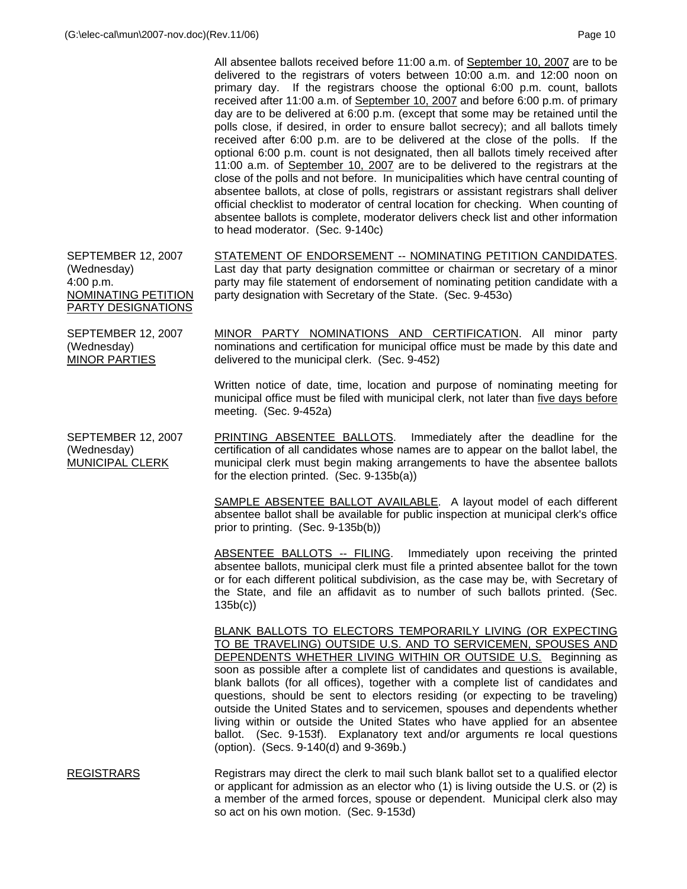All absentee ballots received before 11:00 a.m. of September 10, 2007 are to be delivered to the registrars of voters between 10:00 a.m. and 12:00 noon on primary day. If the registrars choose the optional 6:00 p.m. count, ballots received after 11:00 a.m. of September 10, 2007 and before 6:00 p.m. of primary day are to be delivered at 6:00 p.m. (except that some may be retained until the polls close, if desired, in order to ensure ballot secrecy); and all ballots timely received after 6:00 p.m. are to be delivered at the close of the polls. If the optional 6:00 p.m. count is not designated, then all ballots timely received after 11:00 a.m. of September 10, 2007 are to be delivered to the registrars at the close of the polls and not before. In municipalities which have central counting of absentee ballots, at close of polls, registrars or assistant registrars shall deliver official checklist to moderator of central location for checking. When counting of absentee ballots is complete, moderator delivers check list and other information to head moderator. (Sec. 9-140c)

SEPTEMBER 12, 2007 (Wednesday) 4:00 p.m. NOMINATING PETITION PARTY DESIGNATIONS STATEMENT OF ENDORSEMENT -- NOMINATING PETITION CANDIDATES. Last day that party designation committee or chairman or secretary of a minor party may file statement of endorsement of nominating petition candidate with a party designation with Secretary of the State. (Sec. 9-453o)

SEPTEMBER 12, 2007 (Wednesday) MINOR PARTIES

MINOR PARTY NOMINATIONS AND CERTIFICATION. All minor party nominations and certification for municipal office must be made by this date and delivered to the municipal clerk. (Sec. 9-452)

 Written notice of date, time, location and purpose of nominating meeting for municipal office must be filed with municipal clerk, not later than five days before meeting. (Sec. 9-452a)

SEPTEMBER 12, 2007 (Wednesday) MUNICIPAL CLERK PRINTING ABSENTEE BALLOTS. Immediately after the deadline for the

certification of all candidates whose names are to appear on the ballot label, the municipal clerk must begin making arrangements to have the absentee ballots for the election printed. (Sec. 9-135b(a))

 SAMPLE ABSENTEE BALLOT AVAILABLE. A layout model of each different absentee ballot shall be available for public inspection at municipal clerk's office prior to printing. (Sec. 9-135b(b))

 ABSENTEE BALLOTS -- FILING. Immediately upon receiving the printed absentee ballots, municipal clerk must file a printed absentee ballot for the town or for each different political subdivision, as the case may be, with Secretary of the State, and file an affidavit as to number of such ballots printed. (Sec. 135b(c))

 BLANK BALLOTS TO ELECTORS TEMPORARILY LIVING (OR EXPECTING TO BE TRAVELING) OUTSIDE U.S. AND TO SERVICEMEN, SPOUSES AND DEPENDENTS WHETHER LIVING WITHIN OR OUTSIDE U.S. Beginning as soon as possible after a complete list of candidates and questions is available, blank ballots (for all offices), together with a complete list of candidates and questions, should be sent to electors residing (or expecting to be traveling) outside the United States and to servicemen, spouses and dependents whether living within or outside the United States who have applied for an absentee ballot. (Sec. 9-153f). Explanatory text and/or arguments re local questions (option). (Secs. 9-140(d) and 9-369b.)

REGISTRARS Registrars may direct the clerk to mail such blank ballot set to a qualified elector or applicant for admission as an elector who (1) is living outside the U.S. or (2) is a member of the armed forces, spouse or dependent. Municipal clerk also may so act on his own motion. (Sec. 9-153d)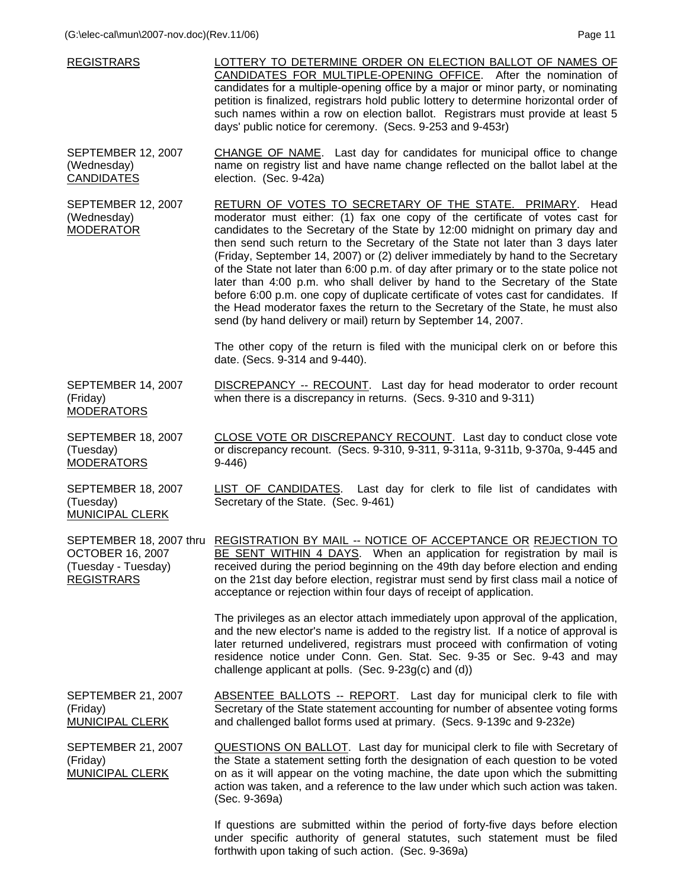| <b>REGISTRARS</b>                                                   | LOTTERY TO DETERMINE ORDER ON ELECTION BALLOT OF NAMES OF<br>CANDIDATES FOR MULTIPLE-OPENING OFFICE. After the nomination of<br>candidates for a multiple-opening office by a major or minor party, or nominating<br>petition is finalized, registrars hold public lottery to determine horizontal order of<br>such names within a row on election ballot. Registrars must provide at least 5<br>days' public notice for ceremony. (Secs. 9-253 and 9-453r)                                                                                                                                                                                                                                                                                                                                                          |
|---------------------------------------------------------------------|----------------------------------------------------------------------------------------------------------------------------------------------------------------------------------------------------------------------------------------------------------------------------------------------------------------------------------------------------------------------------------------------------------------------------------------------------------------------------------------------------------------------------------------------------------------------------------------------------------------------------------------------------------------------------------------------------------------------------------------------------------------------------------------------------------------------|
| <b>SEPTEMBER 12, 2007</b><br>(Wednesday)<br><b>CANDIDATES</b>       | CHANGE OF NAME. Last day for candidates for municipal office to change<br>name on registry list and have name change reflected on the ballot label at the<br>election. (Sec. 9-42a)                                                                                                                                                                                                                                                                                                                                                                                                                                                                                                                                                                                                                                  |
| <b>SEPTEMBER 12, 2007</b><br>(Wednesday)<br><b>MODERATOR</b>        | RETURN OF VOTES TO SECRETARY OF THE STATE. PRIMARY. Head<br>moderator must either: (1) fax one copy of the certificate of votes cast for<br>candidates to the Secretary of the State by 12:00 midnight on primary day and<br>then send such return to the Secretary of the State not later than 3 days later<br>(Friday, September 14, 2007) or (2) deliver immediately by hand to the Secretary<br>of the State not later than 6:00 p.m. of day after primary or to the state police not<br>later than 4:00 p.m. who shall deliver by hand to the Secretary of the State<br>before 6:00 p.m. one copy of duplicate certificate of votes cast for candidates. If<br>the Head moderator faxes the return to the Secretary of the State, he must also<br>send (by hand delivery or mail) return by September 14, 2007. |
|                                                                     | The other copy of the return is filed with the municipal clerk on or before this<br>date. (Secs. 9-314 and 9-440).                                                                                                                                                                                                                                                                                                                                                                                                                                                                                                                                                                                                                                                                                                   |
| SEPTEMBER 14, 2007<br>(Friday)<br><b>MODERATORS</b>                 | DISCREPANCY -- RECOUNT. Last day for head moderator to order recount<br>when there is a discrepancy in returns. (Secs. 9-310 and 9-311)                                                                                                                                                                                                                                                                                                                                                                                                                                                                                                                                                                                                                                                                              |
| SEPTEMBER 18, 2007<br>(Tuesday)<br><b>MODERATORS</b>                | CLOSE VOTE OR DISCREPANCY RECOUNT. Last day to conduct close vote<br>or discrepancy recount. (Secs. 9-310, 9-311, 9-311a, 9-311b, 9-370a, 9-445 and<br>$9-446$                                                                                                                                                                                                                                                                                                                                                                                                                                                                                                                                                                                                                                                       |
| <b>SEPTEMBER 18, 2007</b><br>(Tuesday)<br><b>MUNICIPAL CLERK</b>    | <b>LIST OF CANDIDATES.</b> Last day for clerk to file list of candidates with<br>Secretary of the State. (Sec. 9-461)                                                                                                                                                                                                                                                                                                                                                                                                                                                                                                                                                                                                                                                                                                |
| <b>OCTOBER 16, 2007</b><br>(Tuesday - Tuesday)<br><b>REGISTRARS</b> | SEPTEMBER 18, 2007 thru REGISTRATION BY MAIL -- NOTICE OF ACCEPTANCE OR REJECTION TO<br>BE SENT WITHIN 4 DAYS. When an application for registration by mail is<br>received during the period beginning on the 49th day before election and ending<br>on the 21st day before election, registrar must send by first class mail a notice of<br>acceptance or rejection within four days of receipt of application.                                                                                                                                                                                                                                                                                                                                                                                                     |
|                                                                     | The privileges as an elector attach immediately upon approval of the application,<br>and the new elector's name is added to the registry list. If a notice of approval is<br>later returned undelivered, registrars must proceed with confirmation of voting<br>residence notice under Conn. Gen. Stat. Sec. 9-35 or Sec. 9-43 and may<br>challenge applicant at polls. (Sec. 9-23g(c) and (d))                                                                                                                                                                                                                                                                                                                                                                                                                      |
| <b>SEPTEMBER 21, 2007</b><br>(Friday)<br><b>MUNICIPAL CLERK</b>     | <b>ABSENTEE BALLOTS -- REPORT.</b> Last day for municipal clerk to file with<br>Secretary of the State statement accounting for number of absentee voting forms<br>and challenged ballot forms used at primary. (Secs. 9-139c and 9-232e)                                                                                                                                                                                                                                                                                                                                                                                                                                                                                                                                                                            |
| <b>SEPTEMBER 21, 2007</b><br>(Friday)<br><b>MUNICIPAL CLERK</b>     | QUESTIONS ON BALLOT. Last day for municipal clerk to file with Secretary of<br>the State a statement setting forth the designation of each question to be voted<br>on as it will appear on the voting machine, the date upon which the submitting<br>action was taken, and a reference to the law under which such action was taken.<br>(Sec. 9-369a)                                                                                                                                                                                                                                                                                                                                                                                                                                                                |

If questions are submitted within the period of forty-five days before election under specific authority of general statutes, such statement must be filed forthwith upon taking of such action. (Sec. 9-369a)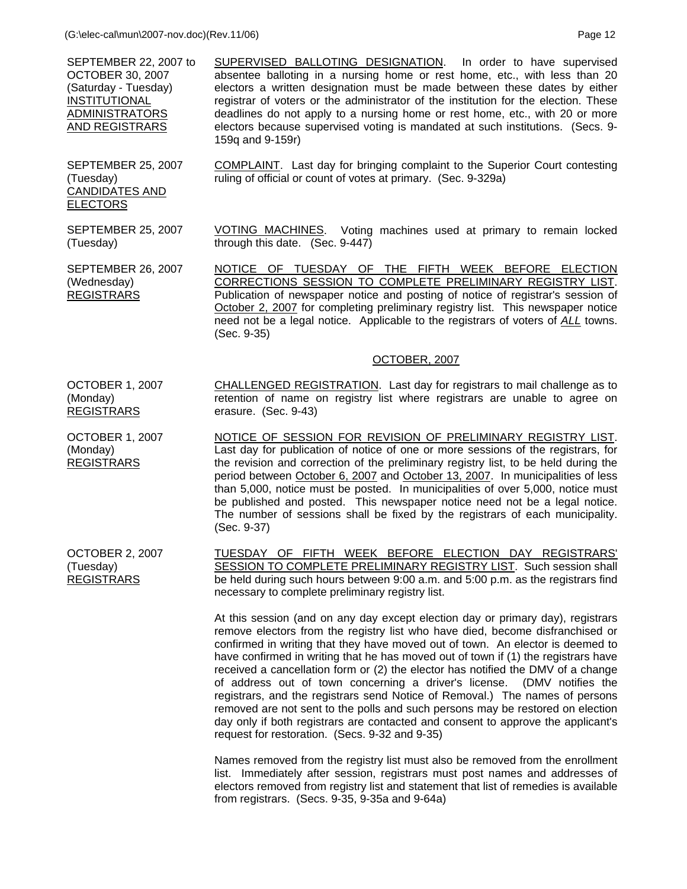SEPTEMBER 22, 2007 to OCTOBER 30, 2007 (Saturday - Tuesday) INSTITUTIONAL ADMINISTRATORS AND REGISTRARS

SEPTEMBER 25, 2007

CANDIDATES AND

(Tuesday)

(Tuesday)

ELECTORS

SUPERVISED BALLOTING DESIGNATION. In order to have supervised absentee balloting in a nursing home or rest home, etc., with less than 20 electors a written designation must be made between these dates by either registrar of voters or the administrator of the institution for the election. These deadlines do not apply to a nursing home or rest home, etc., with 20 or more electors because supervised voting is mandated at such institutions. (Secs. 9- 159q and 9-159r)

COMPLAINT. Last day for bringing complaint to the Superior Court contesting ruling of official or count of votes at primary. (Sec. 9-329a)

SEPTEMBER 25, 2007 VOTING MACHINES. Voting machines used at primary to remain locked through this date. (Sec. 9-447)

SEPTEMBER 26, 2007 (Wednesday) REGISTRARS NOTICE OF TUESDAY OF THE FIFTH WEEK BEFORE ELECTION CORRECTIONS SESSION TO COMPLETE PRELIMINARY REGISTRY LIST. Publication of newspaper notice and posting of notice of registrar's session of October 2, 2007 for completing preliminary registry list. This newspaper notice need not be a legal notice. Applicable to the registrars of voters of *ALL* towns. (Sec. 9-35)

#### OCTOBER, 2007

OCTOBER 1, 2007 (Monday) REGISTRARS CHALLENGED REGISTRATION. Last day for registrars to mail challenge as to retention of name on registry list where registrars are unable to agree on erasure. (Sec. 9-43)

OCTOBER 1, 2007 (Monday) REGISTRARS NOTICE OF SESSION FOR REVISION OF PRELIMINARY REGISTRY LIST. Last day for publication of notice of one or more sessions of the registrars, for the revision and correction of the preliminary registry list, to be held during the period between October 6, 2007 and October 13, 2007. In municipalities of less than 5,000, notice must be posted. In municipalities of over 5,000, notice must be published and posted. This newspaper notice need not be a legal notice. The number of sessions shall be fixed by the registrars of each municipality. (Sec. 9-37)

OCTOBER 2, 2007 (Tuesday) REGISTRARS TUESDAY OF FIFTH WEEK BEFORE ELECTION DAY REGISTRARS' SESSION TO COMPLETE PRELIMINARY REGISTRY LIST. Such session shall be held during such hours between 9:00 a.m. and 5:00 p.m. as the registrars find necessary to complete preliminary registry list.

> At this session (and on any day except election day or primary day), registrars remove electors from the registry list who have died, become disfranchised or confirmed in writing that they have moved out of town. An elector is deemed to have confirmed in writing that he has moved out of town if (1) the registrars have received a cancellation form or (2) the elector has notified the DMV of a change of address out of town concerning a driver's license. (DMV notifies the registrars, and the registrars send Notice of Removal.) The names of persons removed are not sent to the polls and such persons may be restored on election day only if both registrars are contacted and consent to approve the applicant's request for restoration. (Secs. 9-32 and 9-35)

> Names removed from the registry list must also be removed from the enrollment list. Immediately after session, registrars must post names and addresses of electors removed from registry list and statement that list of remedies is available from registrars. (Secs. 9-35, 9-35a and 9-64a)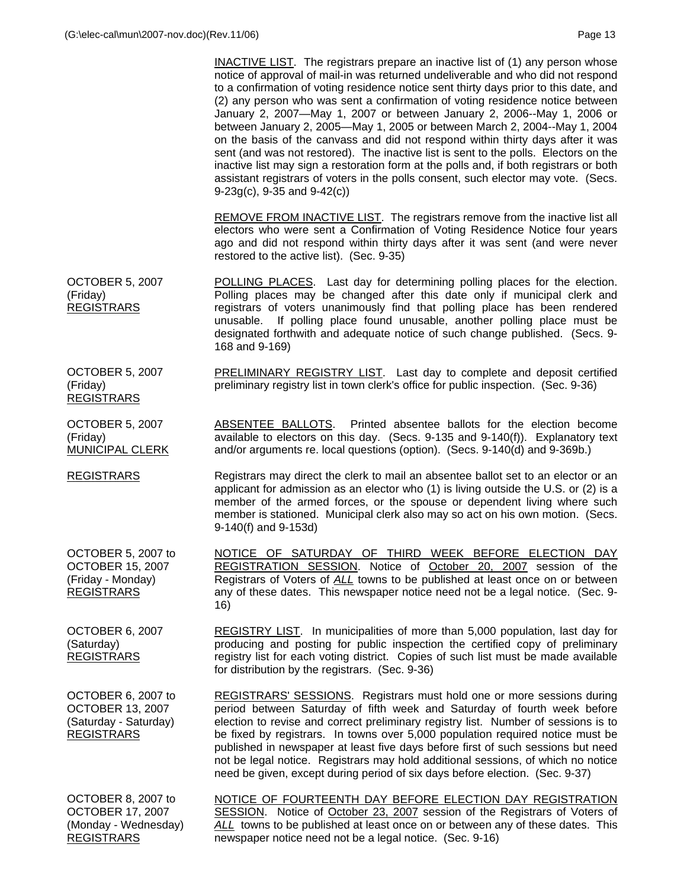INACTIVE LIST. The registrars prepare an inactive list of (1) any person whose notice of approval of mail-in was returned undeliverable and who did not respond to a confirmation of voting residence notice sent thirty days prior to this date, and (2) any person who was sent a confirmation of voting residence notice between January 2, 2007—May 1, 2007 or between January 2, 2006--May 1, 2006 or between January 2, 2005—May 1, 2005 or between March 2, 2004--May 1, 2004 on the basis of the canvass and did not respond within thirty days after it was sent (and was not restored). The inactive list is sent to the polls. Electors on the inactive list may sign a restoration form at the polls and, if both registrars or both assistant registrars of voters in the polls consent, such elector may vote. (Secs. 9-23g(c), 9-35 and 9-42(c))

 REMOVE FROM INACTIVE LIST. The registrars remove from the inactive list all electors who were sent a Confirmation of Voting Residence Notice four years ago and did not respond within thirty days after it was sent (and were never restored to the active list). (Sec. 9-35)

OCTOBER 5, 2007 (Friday) REGISTRARS POLLING PLACES. Last day for determining polling places for the election. Polling places may be changed after this date only if municipal clerk and registrars of voters unanimously find that polling place has been rendered unusable. If polling place found unusable, another polling place must be designated forthwith and adequate notice of such change published. (Secs. 9- 168 and 9-169)

> PRELIMINARY REGISTRY LIST. Last day to complete and deposit certified preliminary registry list in town clerk's office for public inspection. (Sec. 9-36)

ABSENTEE BALLOTS. Printed absentee ballots for the election become available to electors on this day. (Secs. 9-135 and 9-140(f)). Explanatory text and/or arguments re. local questions (option). (Secs. 9-140(d) and 9-369b.)

REGISTRARS Registrars may direct the clerk to mail an absentee ballot set to an elector or an applicant for admission as an elector who (1) is living outside the U.S. or (2) is a member of the armed forces, or the spouse or dependent living where such member is stationed. Municipal clerk also may so act on his own motion. (Secs. 9-140(f) and 9-153d)

OCTOBER 5, 2007 to OCTOBER 15, 2007 (Friday - Monday) REGISTRARS NOTICE OF SATURDAY OF THIRD WEEK BEFORE ELECTION DAY REGISTRATION SESSION. Notice of October 20, 2007 session of the Registrars of Voters of *ALL* towns to be published at least once on or between any of these dates. This newspaper notice need not be a legal notice. (Sec. 9- 16)

OCTOBER 6, 2007 (Saturday) REGISTRARS

OCTOBER 5, 2007

OCTOBER 5, 2007

MUNICIPAL CLERK

REGISTRARS

(Friday)

(Friday)

REGISTRY LIST. In municipalities of more than 5,000 population, last day for producing and posting for public inspection the certified copy of preliminary registry list for each voting district. Copies of such list must be made available for distribution by the registrars. (Sec. 9-36)

OCTOBER 6, 2007 to OCTOBER 13, 2007 (Saturday - Saturday) REGISTRARS

REGISTRARS' SESSIONS. Registrars must hold one or more sessions during period between Saturday of fifth week and Saturday of fourth week before election to revise and correct preliminary registry list. Number of sessions is to be fixed by registrars. In towns over 5,000 population required notice must be published in newspaper at least five days before first of such sessions but need not be legal notice. Registrars may hold additional sessions, of which no notice need be given, except during period of six days before election. (Sec. 9-37)

OCTOBER 8, 2007 to OCTOBER 17, 2007 (Monday - Wednesday) REGISTRARS

NOTICE OF FOURTEENTH DAY BEFORE ELECTION DAY REGISTRATION SESSION. Notice of October 23, 2007 session of the Registrars of Voters of *ALL* towns to be published at least once on or between any of these dates. This newspaper notice need not be a legal notice. (Sec. 9-16)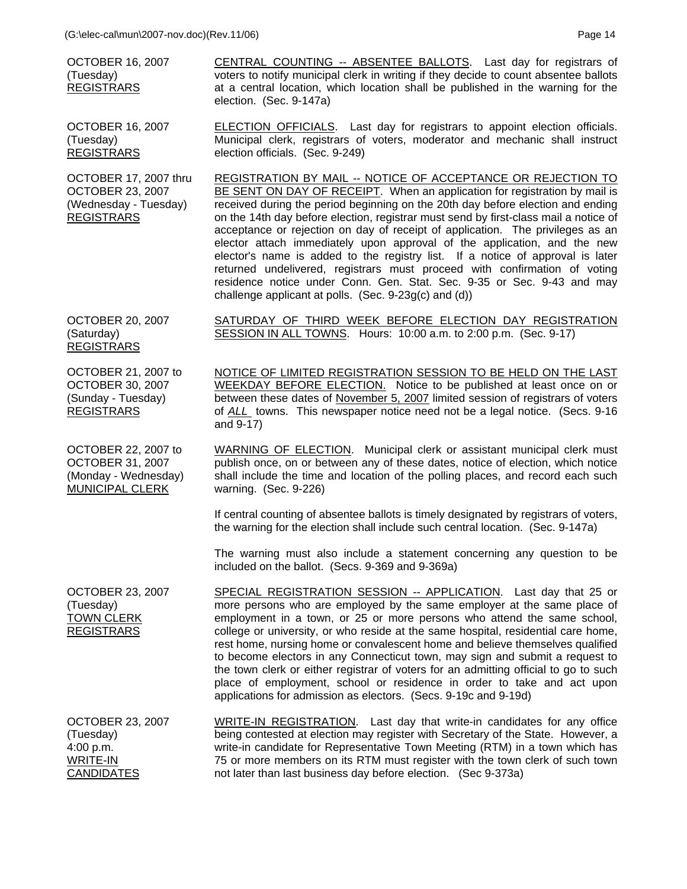OCTOBER 16, 2007 (Tuesday) REGISTRARS

CENTRAL COUNTING -- ABSENTEE BALLOTS. Last day for registrars of voters to notify municipal clerk in writing if they decide to count absentee ballots at a central location, which location shall be published in the warning for the election. (Sec. 9-147a)

ELECTION OFFICIALS. Last day for registrars to appoint election officials. Municipal clerk, registrars of voters, moderator and mechanic shall instruct

election officials. (Sec. 9-249)

OCTOBER 16, 2007 (Tuesday) REGISTRARS

OCTOBER 17, 2007 thru OCTOBER 23, 2007 (Wednesday - Tuesday) REGISTRARS

REGISTRATION BY MAIL -- NOTICE OF ACCEPTANCE OR REJECTION TO BE SENT ON DAY OF RECEIPT. When an application for registration by mail is received during the period beginning on the 20th day before election and ending on the 14th day before election, registrar must send by first-class mail a notice of acceptance or rejection on day of receipt of application. The privileges as an elector attach immediately upon approval of the application, and the new elector's name is added to the registry list. If a notice of approval is later returned undelivered, registrars must proceed with confirmation of voting residence notice under Conn. Gen. Stat. Sec. 9-35 or Sec. 9-43 and may challenge applicant at polls. (Sec. 9-23g(c) and (d))

OCTOBER 20, 2007 (Saturday) **REGISTRARS** 

SATURDAY OF THIRD WEEK BEFORE ELECTION DAY REGISTRATION SESSION IN ALL TOWNS. Hours: 10:00 a.m. to 2:00 p.m. (Sec. 9-17)

OCTOBER 21, 2007 to OCTOBER 30, 2007 (Sunday - Tuesday) REGISTRARS

OCTOBER 22, 2007 to OCTOBER 31, 2007 (Monday - Wednesday) MUNICIPAL CLERK

NOTICE OF LIMITED REGISTRATION SESSION TO BE HELD ON THE LAST WEEKDAY BEFORE ELECTION. Notice to be published at least once on or between these dates of November 5, 2007 limited session of registrars of voters of *ALL* towns. This newspaper notice need not be a legal notice. (Secs. 9-16 and 9-17)

WARNING OF ELECTION. Municipal clerk or assistant municipal clerk must publish once, on or between any of these dates, notice of election, which notice shall include the time and location of the polling places, and record each such warning. (Sec. 9-226)

 If central counting of absentee ballots is timely designated by registrars of voters, the warning for the election shall include such central location. (Sec. 9-147a)

 The warning must also include a statement concerning any question to be included on the ballot. (Secs. 9-369 and 9-369a)

OCTOBER 23, 2007 (Tuesday) TOWN CLERK REGISTRARS SPECIAL REGISTRATION SESSION -- APPLICATION. Last day that 25 or more persons who are employed by the same employer at the same place of employment in a town, or 25 or more persons who attend the same school, college or university, or who reside at the same hospital, residential care home, rest home, nursing home or convalescent home and believe themselves qualified to become electors in any Connecticut town, may sign and submit a request to the town clerk or either registrar of voters for an admitting official to go to such place of employment, school or residence in order to take and act upon applications for admission as electors. (Secs. 9-19c and 9-19d)

OCTOBER 23, 2007 (Tuesday) 4:00 p.m. WRITE-IN **CANDIDATES** WRITE-IN REGISTRATION. Last day that write-in candidates for any office being contested at election may register with Secretary of the State. However, a write-in candidate for Representative Town Meeting (RTM) in a town which has 75 or more members on its RTM must register with the town clerk of such town not later than last business day before election. (Sec 9-373a)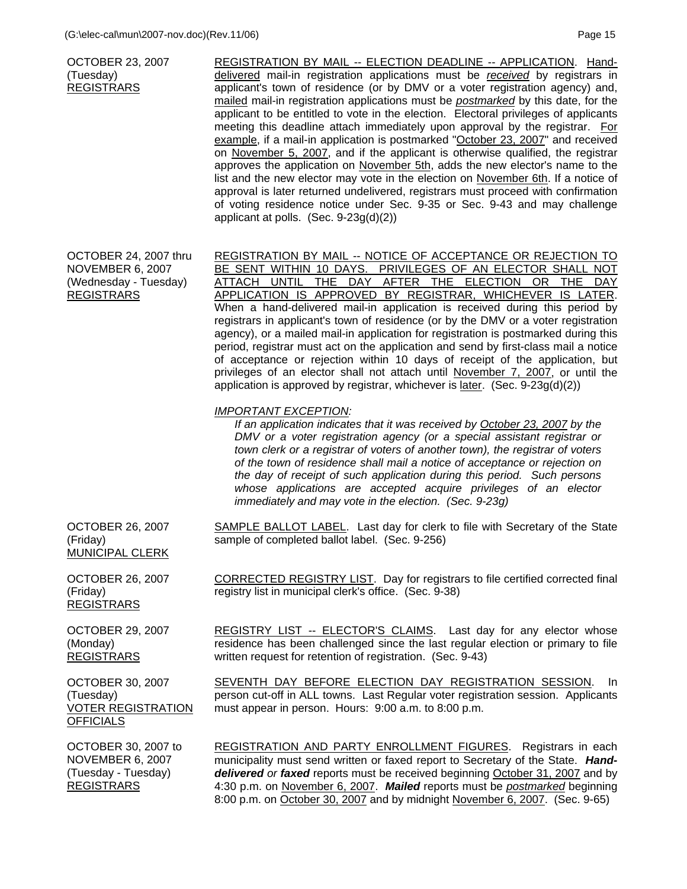OCTOBER 23, 2007 (Tuesday) REGISTRARS REGISTRATION BY MAIL -- ELECTION DEADLINE -- APPLICATION. Handdelivered mail-in registration applications must be *received* by registrars in applicant's town of residence (or by DMV or a voter registration agency) and, mailed mail-in registration applications must be *postmarked* by this date, for the applicant to be entitled to vote in the election. Electoral privileges of applicants meeting this deadline attach immediately upon approval by the registrar. For example, if a mail-in application is postmarked "October 23, 2007" and received on November 5, 2007, and if the applicant is otherwise qualified, the registrar approves the application on November 5th, adds the new elector's name to the list and the new elector may vote in the election on November 6th. If a notice of approval is later returned undelivered, registrars must proceed with confirmation of voting residence notice under Sec. 9-35 or Sec. 9-43 and may challenge applicant at polls. (Sec. 9-23g(d)(2)) OCTOBER 24, 2007 thru NOVEMBER 6, 2007 (Wednesday - Tuesday) REGISTRARS REGISTRATION BY MAIL -- NOTICE OF ACCEPTANCE OR REJECTION TO BE SENT WITHIN 10 DAYS. PRIVILEGES OF AN ELECTOR SHALL NOT ATTACH UNTIL THE DAY AFTER THE ELECTION OR THE DAY APPLICATION IS APPROVED BY REGISTRAR, WHICHEVER IS LATER. When a hand-delivered mail-in application is received during this period by registrars in applicant's town of residence (or by the DMV or a voter registration agency), or a mailed mail-in application for registration is postmarked during this period, registrar must act on the application and send by first-class mail a notice of acceptance or rejection within 10 days of receipt of the application, but privileges of an elector shall not attach until November 7, 2007, or until the application is approved by registrar, whichever is later. (Sec. 9-23g(d)(2)) *IMPORTANT EXCEPTION: If an application indicates that it was received by October 23, 2007 by the DMV or a voter registration agency (or a special assistant registrar or town clerk or a registrar of voters of another town), the registrar of voters of the town of residence shall mail a notice of acceptance or rejection on the day of receipt of such application during this period. Such persons whose applications are accepted acquire privileges of an elector immediately and may vote in the election. (Sec. 9-23g)*  OCTOBER 26, 2007 (Friday) MUNICIPAL CLERK SAMPLE BALLOT LABEL. Last day for clerk to file with Secretary of the State sample of completed ballot label. (Sec. 9-256) OCTOBER 26, 2007 (Friday) REGISTRARS CORRECTED REGISTRY LIST. Day for registrars to file certified corrected final registry list in municipal clerk's office. (Sec. 9-38) OCTOBER 29, 2007 (Monday) **REGISTRARS** OCTOBER 30, 2007 (Tuesday) VOTER REGISTRATION **OFFICIALS** REGISTRY LIST -- ELECTOR'S CLAIMS. Last day for any elector whose residence has been challenged since the last regular election or primary to file written request for retention of registration. (Sec. 9-43) SEVENTH DAY BEFORE ELECTION DAY REGISTRATION SESSION. In person cut-off in ALL towns. Last Regular voter registration session. Applicants must appear in person. Hours: 9:00 a.m. to 8:00 p.m. OCTOBER 30, 2007 to NOVEMBER 6, 2007 (Tuesday - Tuesday) **REGISTRARS** REGISTRATION AND PARTY ENROLLMENT FIGURES. Registrars in each municipality must send written or faxed report to Secretary of the State. *Handdelivered or faxed* reports must be received beginning October 31, 2007 and by 4:30 p.m. on November 6, 2007. *Mailed* reports must be *postmarked* beginning 8:00 p.m. on October 30, 2007 and by midnight November 6, 2007. (Sec. 9-65)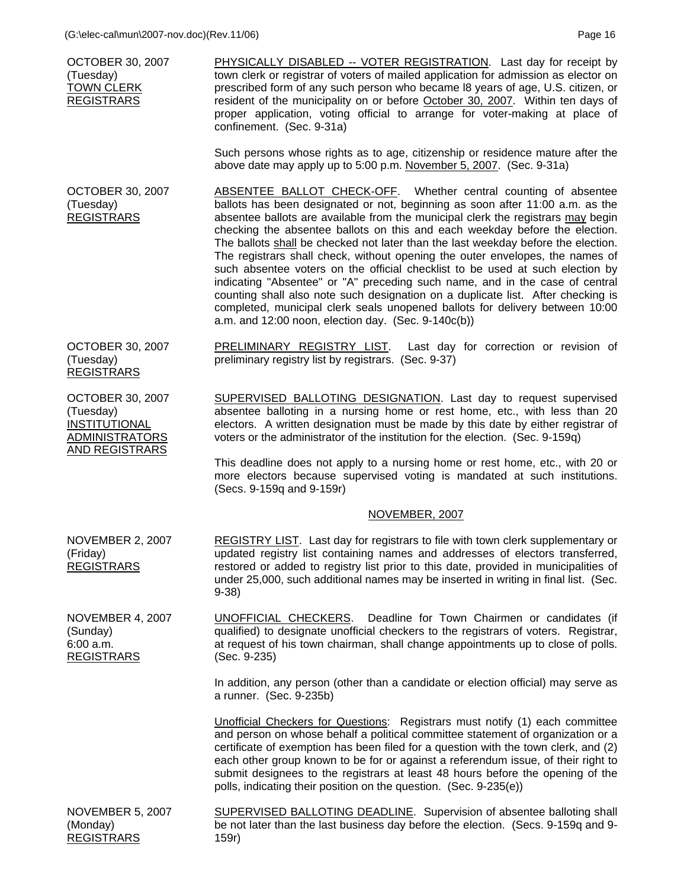| <b>OCTOBER 30, 2007</b><br>(Tuesday)<br><b>TOWN CLERK</b><br><b>REGISTRARS</b>                                 | PHYSICALLY DISABLED -- VOTER REGISTRATION. Last day for receipt by<br>town clerk or registrar of voters of mailed application for admission as elector on<br>prescribed form of any such person who became I8 years of age, U.S. citizen, or<br>resident of the municipality on or before October 30, 2007. Within ten days of<br>proper application, voting official to arrange for voter-making at place of<br>confinement. (Sec. 9-31a)                                                                                                                                                                                                                                                                                                                                                                                                                                            |
|----------------------------------------------------------------------------------------------------------------|---------------------------------------------------------------------------------------------------------------------------------------------------------------------------------------------------------------------------------------------------------------------------------------------------------------------------------------------------------------------------------------------------------------------------------------------------------------------------------------------------------------------------------------------------------------------------------------------------------------------------------------------------------------------------------------------------------------------------------------------------------------------------------------------------------------------------------------------------------------------------------------|
|                                                                                                                | Such persons whose rights as to age, citizenship or residence mature after the<br>above date may apply up to 5:00 p.m. November 5, 2007. (Sec. 9-31a)                                                                                                                                                                                                                                                                                                                                                                                                                                                                                                                                                                                                                                                                                                                                 |
| OCTOBER 30, 2007<br>(Tuesday)<br><b>REGISTRARS</b>                                                             | ABSENTEE BALLOT CHECK-OFF. Whether central counting of absentee<br>ballots has been designated or not, beginning as soon after 11:00 a.m. as the<br>absentee ballots are available from the municipal clerk the registrars may begin<br>checking the absentee ballots on this and each weekday before the election.<br>The ballots shall be checked not later than the last weekday before the election.<br>The registrars shall check, without opening the outer envelopes, the names of<br>such absentee voters on the official checklist to be used at such election by<br>indicating "Absentee" or "A" preceding such name, and in the case of central<br>counting shall also note such designation on a duplicate list. After checking is<br>completed, municipal clerk seals unopened ballots for delivery between 10:00<br>a.m. and 12:00 noon, election day. (Sec. 9-140c(b)) |
| <b>OCTOBER 30, 2007</b><br>(Tuesday)<br><b>REGISTRARS</b>                                                      | PRELIMINARY REGISTRY LIST.<br>Last day for correction or revision of<br>preliminary registry list by registrars. (Sec. 9-37)                                                                                                                                                                                                                                                                                                                                                                                                                                                                                                                                                                                                                                                                                                                                                          |
| <b>OCTOBER 30, 2007</b><br>(Tuesday)<br><b>INSTITUTIONAL</b><br><b>ADMINISTRATORS</b><br><b>AND REGISTRARS</b> | <b>SUPERVISED BALLOTING DESIGNATION.</b> Last day to request supervised<br>absentee balloting in a nursing home or rest home, etc., with less than 20<br>electors. A written designation must be made by this date by either registrar of<br>voters or the administrator of the institution for the election. (Sec. 9-159q)<br>This deadline does not apply to a nursing home or rest home, etc., with 20 or<br>more electors because supervised voting is mandated at such institutions.                                                                                                                                                                                                                                                                                                                                                                                             |
|                                                                                                                | (Secs. 9-159q and 9-159r)                                                                                                                                                                                                                                                                                                                                                                                                                                                                                                                                                                                                                                                                                                                                                                                                                                                             |
|                                                                                                                | NOVEMBER, 2007                                                                                                                                                                                                                                                                                                                                                                                                                                                                                                                                                                                                                                                                                                                                                                                                                                                                        |
| <b>NOVEMBER 2, 2007</b><br>(Friday)<br><b>REGISTRARS</b>                                                       | REGISTRY LIST. Last day for registrars to file with town clerk supplementary or<br>updated registry list containing names and addresses of electors transferred,<br>restored or added to registry list prior to this date, provided in municipalities of<br>under 25,000, such additional names may be inserted in writing in final list. (Sec.<br>$9-38$                                                                                                                                                                                                                                                                                                                                                                                                                                                                                                                             |
| <b>NOVEMBER 4, 2007</b><br>(Sunday)<br>6:00 a.m.<br><b>REGISTRARS</b>                                          | Deadline for Town Chairmen or candidates (if<br>UNOFFICIAL CHECKERS.<br>qualified) to designate unofficial checkers to the registrars of voters. Registrar,<br>at request of his town chairman, shall change appointments up to close of polls.<br>(Sec. 9-235)                                                                                                                                                                                                                                                                                                                                                                                                                                                                                                                                                                                                                       |
|                                                                                                                | In addition, any person (other than a candidate or election official) may serve as<br>a runner. (Sec. 9-235b)                                                                                                                                                                                                                                                                                                                                                                                                                                                                                                                                                                                                                                                                                                                                                                         |
|                                                                                                                | <b>Unofficial Checkers for Questions:</b> Registrars must notify (1) each committee<br>and person on whose behalf a political committee statement of organization or a<br>certificate of exemption has been filed for a question with the town clerk, and (2)<br>each other group known to be for or against a referendum issue, of their right to<br>submit designees to the registrars at least 48 hours before the opening of the<br>polls, indicating their position on the question. (Sec. 9-235(e))                                                                                                                                                                                                                                                                                                                                                                             |
| $N$ $\cap$ $V$ $\subseteq$ $M$ $\cap$ $\subseteq$ $R$ $\subseteq$ $S$ $\cap$ $\cap$ $T$                        | SUPERVISED BALLOTING DEADLINE. Supervision of absentee balloting shall.                                                                                                                                                                                                                                                                                                                                                                                                                                                                                                                                                                                                                                                                                                                                                                                                               |

NOVEMBER 5, 2007 (Monday) REGISTRARS SUPERVISED BALLOTING DEADLINE. Supervision of absentee balloting shall be not later than the last business day before the election. (Secs. 9-159q and 9- 159r)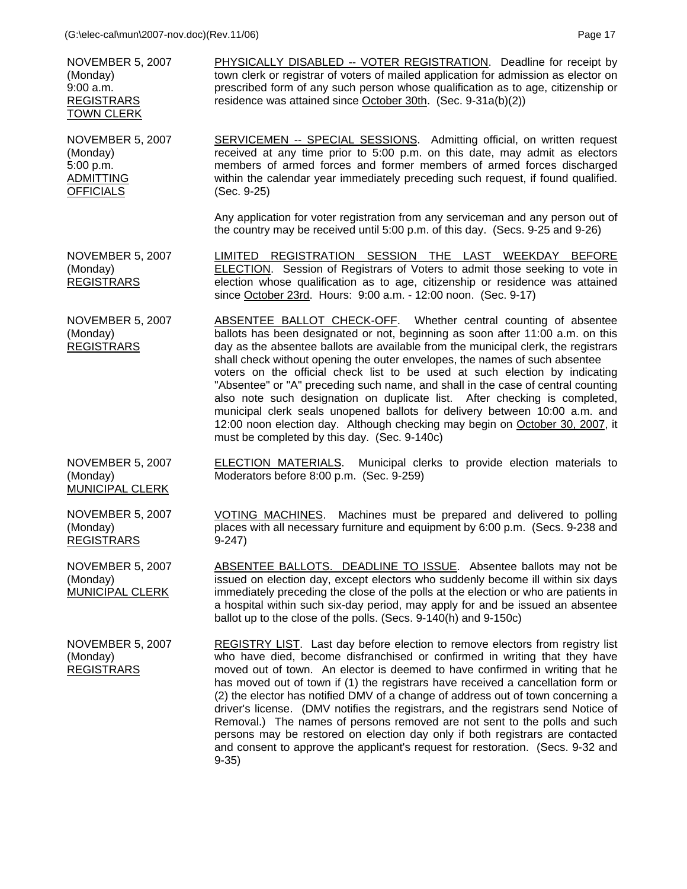NOVEMBER 5, 2007 (Monday) 9:00 a.m. REGISTRARS TOWN CLERK

(Monday) 5:00 p.m. ADMITTING **OFFICIALS** 

PHYSICALLY DISABLED -- VOTER REGISTRATION. Deadline for receipt by town clerk or registrar of voters of mailed application for admission as elector on prescribed form of any such person whose qualification as to age, citizenship or residence was attained since October 30th. (Sec. 9-31a(b)(2))

NOVEMBER 5, 2007 SERVICEMEN -- SPECIAL SESSIONS. Admitting official, on written request received at any time prior to 5:00 p.m. on this date, may admit as electors members of armed forces and former members of armed forces discharged within the calendar year immediately preceding such request, if found qualified. (Sec. 9-25)

> Any application for voter registration from any serviceman and any person out of the country may be received until 5:00 p.m. of this day. (Secs. 9-25 and 9-26)

NOVEMBER 5, 2007 (Monday) REGISTRARS LIMITED REGISTRATION SESSION THE LAST WEEKDAY BEFORE ELECTION. Session of Registrars of Voters to admit those seeking to vote in election whose qualification as to age, citizenship or residence was attained since October 23rd. Hours: 9:00 a.m. - 12:00 noon. (Sec. 9-17)

NOVEMBER 5, 2007 (Monday) **REGISTRARS** ABSENTEE BALLOT CHECK-OFF. Whether central counting of absentee ballots has been designated or not, beginning as soon after 11:00 a.m. on this day as the absentee ballots are available from the municipal clerk, the registrars shall check without opening the outer envelopes, the names of such absentee voters on the official check list to be used at such election by indicating "Absentee" or "A" preceding such name, and shall in the case of central counting also note such designation on duplicate list. After checking is completed, municipal clerk seals unopened ballots for delivery between 10:00 a.m. and 12:00 noon election day. Although checking may begin on October 30, 2007, it must be completed by this day. (Sec. 9-140c)

Moderators before 8:00 p.m. (Sec. 9-259)

NOVEMBER 5, 2007 (Monday) MUNICIPAL CLERK

NOVEMBER 5, 2007 (Monday) REGISTRARS

NOVEMBER 5, 2007

MUNICIPAL CLERK

(Monday)

VOTING MACHINES. Machines must be prepared and delivered to polling places with all necessary furniture and equipment by 6:00 p.m. (Secs. 9-238 and 9-247)

**ELECTION MATERIALS.** Municipal clerks to provide election materials to

ABSENTEE BALLOTS. DEADLINE TO ISSUE. Absentee ballots may not be issued on election day, except electors who suddenly become ill within six days immediately preceding the close of the polls at the election or who are patients in a hospital within such six-day period, may apply for and be issued an absentee ballot up to the close of the polls. (Secs. 9-140(h) and 9-150c)

NOVEMBER 5, 2007 (Monday) REGISTRARS

REGISTRY LIST. Last day before election to remove electors from registry list who have died, become disfranchised or confirmed in writing that they have moved out of town. An elector is deemed to have confirmed in writing that he has moved out of town if (1) the registrars have received a cancellation form or (2) the elector has notified DMV of a change of address out of town concerning a driver's license. (DMV notifies the registrars, and the registrars send Notice of Removal.) The names of persons removed are not sent to the polls and such persons may be restored on election day only if both registrars are contacted and consent to approve the applicant's request for restoration. (Secs. 9-32 and 9-35)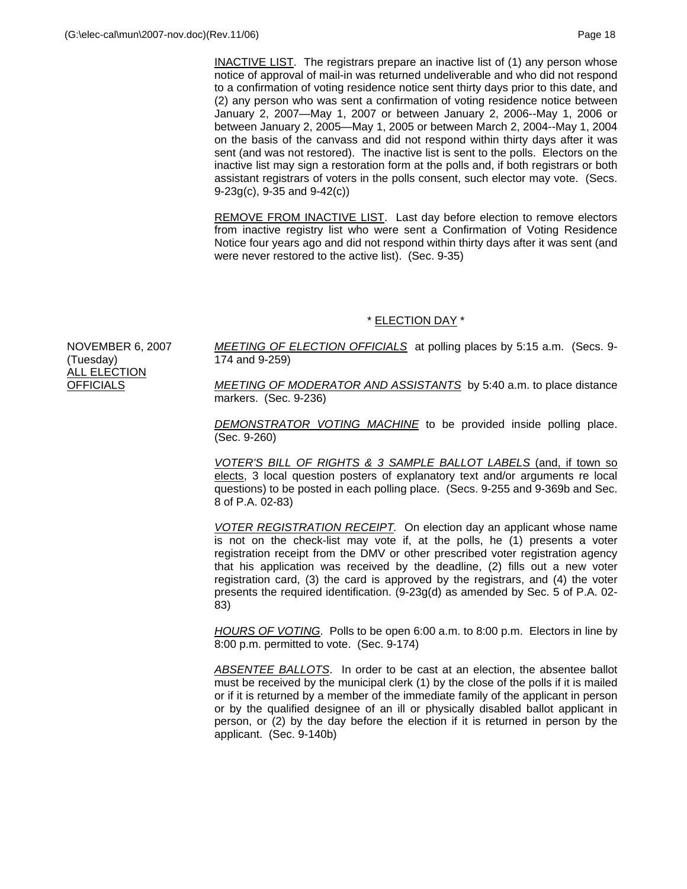INACTIVE LIST. The registrars prepare an inactive list of (1) any person whose notice of approval of mail-in was returned undeliverable and who did not respond to a confirmation of voting residence notice sent thirty days prior to this date, and (2) any person who was sent a confirmation of voting residence notice between January 2, 2007—May 1, 2007 or between January 2, 2006--May 1, 2006 or between January 2, 2005—May 1, 2005 or between March 2, 2004--May 1, 2004 on the basis of the canvass and did not respond within thirty days after it was sent (and was not restored). The inactive list is sent to the polls. Electors on the inactive list may sign a restoration form at the polls and, if both registrars or both assistant registrars of voters in the polls consent, such elector may vote. (Secs. 9-23g(c), 9-35 and 9-42(c))

 REMOVE FROM INACTIVE LIST. Last day before election to remove electors from inactive registry list who were sent a Confirmation of Voting Residence Notice four years ago and did not respond within thirty days after it was sent (and were never restored to the active list). (Sec. 9-35)

# \* ELECTION DAY \*

NOVEMBER 6, 2007 (Tuesday) **ALL ELECTION OFFICIALS** 

*MEETING OF ELECTION OFFICIALS* at polling places by 5:15 a.m. (Secs. 9- 174 and 9-259)

*MEETING OF MODERATOR AND ASSISTANTS* by 5:40 a.m. to place distance markers. (Sec. 9-236)

*DEMONSTRATOR VOTING MACHINE* to be provided inside polling place. (Sec. 9-260)

*VOTER'S BILL OF RIGHTS & 3 SAMPLE BALLOT LABELS* (and, if town so elects, 3 local question posters of explanatory text and/or arguments re local questions) to be posted in each polling place. (Secs. 9-255 and 9-369b and Sec. 8 of P.A. 02-83)

*VOTER REGISTRATION RECEIPT.* On election day an applicant whose name is not on the check-list may vote if, at the polls, he (1) presents a voter registration receipt from the DMV or other prescribed voter registration agency that his application was received by the deadline, (2) fills out a new voter registration card, (3) the card is approved by the registrars, and (4) the voter presents the required identification. (9-23g(d) as amended by Sec. 5 of P.A. 02- 83)

*HOURS OF VOTING*. Polls to be open 6:00 a.m. to 8:00 p.m. Electors in line by 8:00 p.m. permitted to vote. (Sec. 9-174)

*ABSENTEE BALLOTS*. In order to be cast at an election, the absentee ballot must be received by the municipal clerk (1) by the close of the polls if it is mailed or if it is returned by a member of the immediate family of the applicant in person or by the qualified designee of an ill or physically disabled ballot applicant in person, or (2) by the day before the election if it is returned in person by the applicant. (Sec. 9-140b)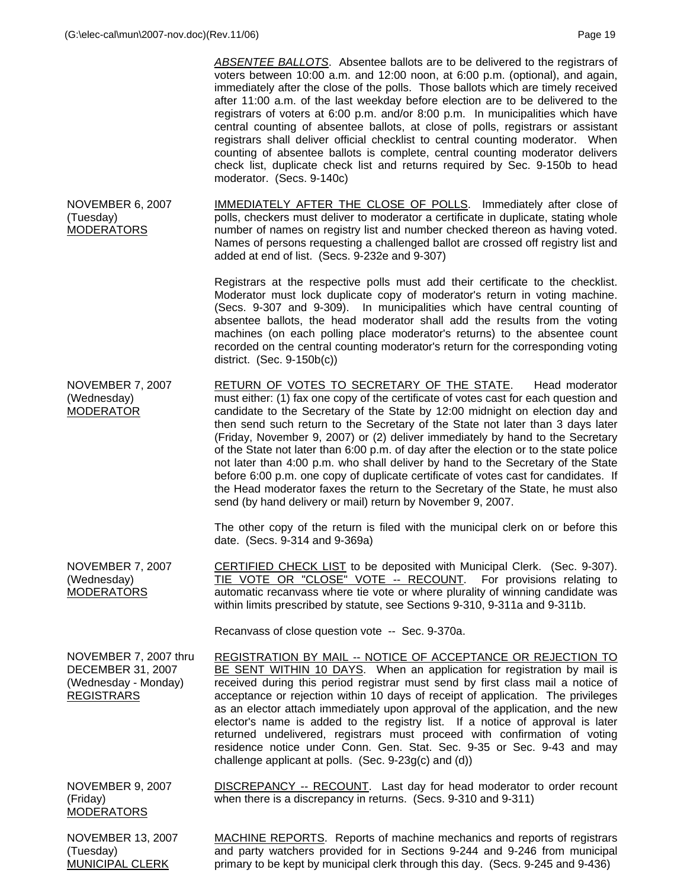(Tuesday)

|                                                                                                | <b>ABSENTEE BALLOTS.</b> Absentee ballots are to be delivered to the registrars of<br>voters between 10:00 a.m. and 12:00 noon, at 6:00 p.m. (optional), and again,<br>immediately after the close of the polls. Those ballots which are timely received<br>after 11:00 a.m. of the last weekday before election are to be delivered to the<br>registrars of voters at 6:00 p.m. and/or 8:00 p.m. In municipalities which have<br>central counting of absentee ballots, at close of polls, registrars or assistant<br>registrars shall deliver official checklist to central counting moderator. When<br>counting of absentee ballots is complete, central counting moderator delivers<br>check list, duplicate check list and returns required by Sec. 9-150b to head<br>moderator. (Secs. 9-140c)                               |
|------------------------------------------------------------------------------------------------|-----------------------------------------------------------------------------------------------------------------------------------------------------------------------------------------------------------------------------------------------------------------------------------------------------------------------------------------------------------------------------------------------------------------------------------------------------------------------------------------------------------------------------------------------------------------------------------------------------------------------------------------------------------------------------------------------------------------------------------------------------------------------------------------------------------------------------------|
| <b>NOVEMBER 6, 2007</b><br>(Tuesday)<br><b>MODERATORS</b>                                      | <b>IMMEDIATELY AFTER THE CLOSE OF POLLS.</b> Immediately after close of<br>polls, checkers must deliver to moderator a certificate in duplicate, stating whole<br>number of names on registry list and number checked thereon as having voted.<br>Names of persons requesting a challenged ballot are crossed off registry list and<br>added at end of list. (Secs. 9-232e and 9-307)                                                                                                                                                                                                                                                                                                                                                                                                                                             |
|                                                                                                | Registrars at the respective polls must add their certificate to the checklist.<br>Moderator must lock duplicate copy of moderator's return in voting machine.<br>(Secs. 9-307 and 9-309). In municipalities which have central counting of<br>absentee ballots, the head moderator shall add the results from the voting<br>machines (on each polling place moderator's returns) to the absentee count<br>recorded on the central counting moderator's return for the corresponding voting<br>district. $(Sec. 9-150b(c))$                                                                                                                                                                                                                                                                                                       |
| NOVEMBER 7, 2007<br>(Wednesday)<br><b>MODERATOR</b>                                            | RETURN OF VOTES TO SECRETARY OF THE STATE.<br>Head moderator<br>must either: (1) fax one copy of the certificate of votes cast for each question and<br>candidate to the Secretary of the State by 12:00 midnight on election day and<br>then send such return to the Secretary of the State not later than 3 days later<br>(Friday, November 9, 2007) or (2) deliver immediately by hand to the Secretary<br>of the State not later than 6:00 p.m. of day after the election or to the state police<br>not later than 4:00 p.m. who shall deliver by hand to the Secretary of the State<br>before 6:00 p.m. one copy of duplicate certificate of votes cast for candidates. If<br>the Head moderator faxes the return to the Secretary of the State, he must also<br>send (by hand delivery or mail) return by November 9, 2007. |
|                                                                                                | The other copy of the return is filed with the municipal clerk on or before this<br>date. (Secs. 9-314 and 9-369a)                                                                                                                                                                                                                                                                                                                                                                                                                                                                                                                                                                                                                                                                                                                |
| <b>NOVEMBER 7, 2007</b><br>(Wednesday)<br><b>MODERATORS</b>                                    | CERTIFIED CHECK LIST to be deposited with Municipal Clerk. (Sec. 9-307).<br>TIE VOTE OR "CLOSE" VOTE -- RECOUNT. For provisions relating to<br>automatic recanvass where tie vote or where plurality of winning candidate was<br>within limits prescribed by statute, see Sections 9-310, 9-311a and 9-311b.                                                                                                                                                                                                                                                                                                                                                                                                                                                                                                                      |
|                                                                                                | Recanvass of close question vote -- Sec. 9-370a.                                                                                                                                                                                                                                                                                                                                                                                                                                                                                                                                                                                                                                                                                                                                                                                  |
| NOVEMBER 7, 2007 thru<br><b>DECEMBER 31, 2007</b><br>(Wednesday - Monday)<br><b>REGISTRARS</b> | REGISTRATION BY MAIL -- NOTICE OF ACCEPTANCE OR REJECTION TO<br>BE SENT WITHIN 10 DAYS. When an application for registration by mail is<br>received during this period registrar must send by first class mail a notice of<br>acceptance or rejection within 10 days of receipt of application. The privileges<br>as an elector attach immediately upon approval of the application, and the new<br>elector's name is added to the registry list. If a notice of approval is later<br>returned undelivered, registrars must proceed with confirmation of voting<br>residence notice under Conn. Gen. Stat. Sec. 9-35 or Sec. 9-43 and may<br>challenge applicant at polls. (Sec. 9-23g(c) and (d))                                                                                                                                |
| <b>NOVEMBER 9, 2007</b><br>(Friday)<br><b>MODERATORS</b>                                       | DISCREPANCY -- RECOUNT. Last day for head moderator to order recount<br>when there is a discrepancy in returns. (Secs. 9-310 and 9-311)                                                                                                                                                                                                                                                                                                                                                                                                                                                                                                                                                                                                                                                                                           |
| <b>NOVEMBER 13, 2007</b>                                                                       | <b>MACHINE REPORTS.</b> Reports of machine mechanics and reports of registrars                                                                                                                                                                                                                                                                                                                                                                                                                                                                                                                                                                                                                                                                                                                                                    |

MUNICIPAL CLERK MACHINE REPORTS. Reports of machine mechanics and reports of registrars and party watchers provided for in Sections 9-244 and 9-246 from municipal primary to be kept by municipal clerk through this day. (Secs. 9-245 and 9-436)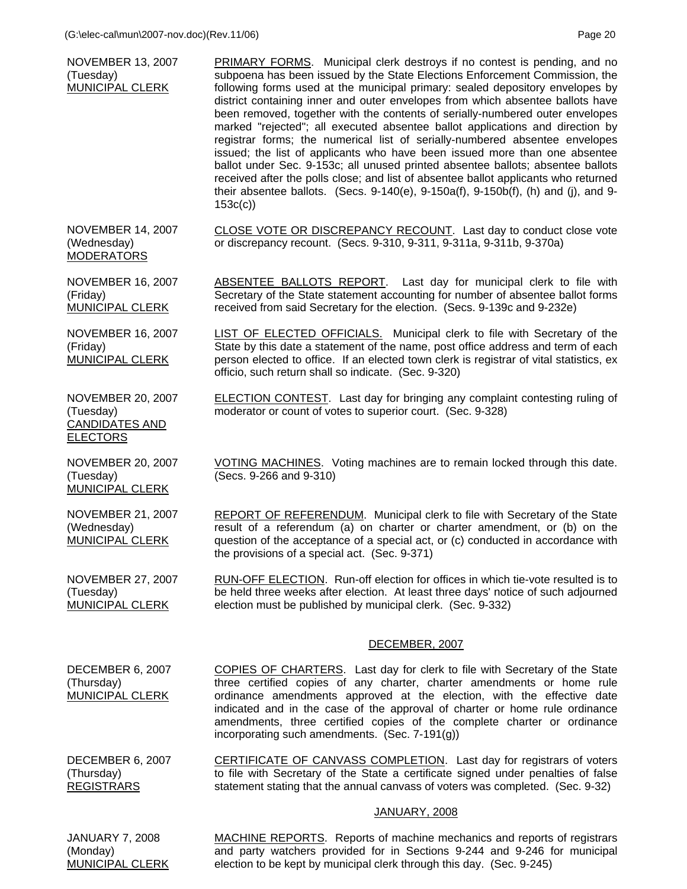| <b>NOVEMBER 13, 2007</b><br>(Tuesday)<br><b>MUNICIPAL CLERK</b>                   | PRIMARY FORMS. Municipal clerk destroys if no contest is pending, and no<br>subpoena has been issued by the State Elections Enforcement Commission, the<br>following forms used at the municipal primary: sealed depository envelopes by<br>district containing inner and outer envelopes from which absentee ballots have<br>been removed, together with the contents of serially-numbered outer envelopes<br>marked "rejected"; all executed absentee ballot applications and direction by<br>registrar forms; the numerical list of serially-numbered absentee envelopes<br>issued; the list of applicants who have been issued more than one absentee<br>ballot under Sec. 9-153c; all unused printed absentee ballots; absentee ballots<br>received after the polls close; and list of absentee ballot applicants who returned<br>their absentee ballots. (Secs. 9-140(e), 9-150a(f), 9-150b(f), (h) and (j), and 9-<br>153c(c) |
|-----------------------------------------------------------------------------------|--------------------------------------------------------------------------------------------------------------------------------------------------------------------------------------------------------------------------------------------------------------------------------------------------------------------------------------------------------------------------------------------------------------------------------------------------------------------------------------------------------------------------------------------------------------------------------------------------------------------------------------------------------------------------------------------------------------------------------------------------------------------------------------------------------------------------------------------------------------------------------------------------------------------------------------|
| <b>NOVEMBER 14, 2007</b><br>(Wednesday)<br><b>MODERATORS</b>                      | CLOSE VOTE OR DISCREPANCY RECOUNT. Last day to conduct close vote<br>or discrepancy recount. (Secs. 9-310, 9-311, 9-311a, 9-311b, 9-370a)                                                                                                                                                                                                                                                                                                                                                                                                                                                                                                                                                                                                                                                                                                                                                                                            |
| <b>NOVEMBER 16, 2007</b><br>(Friday)<br><b>MUNICIPAL CLERK</b>                    | ABSENTEE BALLOTS REPORT. Last day for municipal clerk to file with<br>Secretary of the State statement accounting for number of absentee ballot forms<br>received from said Secretary for the election. (Secs. 9-139c and 9-232e)                                                                                                                                                                                                                                                                                                                                                                                                                                                                                                                                                                                                                                                                                                    |
| <b>NOVEMBER 16, 2007</b><br>(Friday)<br><b>MUNICIPAL CLERK</b>                    | <b>LIST OF ELECTED OFFICIALS.</b> Municipal clerk to file with Secretary of the<br>State by this date a statement of the name, post office address and term of each<br>person elected to office. If an elected town clerk is registrar of vital statistics, ex<br>officio, such return shall so indicate. (Sec. 9-320)                                                                                                                                                                                                                                                                                                                                                                                                                                                                                                                                                                                                               |
| <b>NOVEMBER 20, 2007</b><br>(Tuesday)<br><b>CANDIDATES AND</b><br><b>ELECTORS</b> | <b>ELECTION CONTEST.</b> Last day for bringing any complaint contesting ruling of<br>moderator or count of votes to superior court. (Sec. 9-328)                                                                                                                                                                                                                                                                                                                                                                                                                                                                                                                                                                                                                                                                                                                                                                                     |
| <b>NOVEMBER 20, 2007</b><br>(Tuesday)<br><b>MUNICIPAL CLERK</b>                   | VOTING MACHINES. Voting machines are to remain locked through this date.<br>(Secs. 9-266 and 9-310)                                                                                                                                                                                                                                                                                                                                                                                                                                                                                                                                                                                                                                                                                                                                                                                                                                  |
| <b>NOVEMBER 21, 2007</b><br>(Wednesday)<br><b>MUNICIPAL CLERK</b>                 | <b>REPORT OF REFERENDUM.</b> Municipal clerk to file with Secretary of the State<br>result of a referendum (a) on charter or charter amendment, or (b) on the<br>question of the acceptance of a special act, or (c) conducted in accordance with<br>the provisions of a special act. (Sec. 9-371)                                                                                                                                                                                                                                                                                                                                                                                                                                                                                                                                                                                                                                   |
| <b>NOVEMBER 27, 2007</b><br>(Tuesday)<br><b>MUNICIPAL CLERK</b>                   | RUN-OFF ELECTION. Run-off election for offices in which tie-vote resulted is to<br>be held three weeks after election. At least three days' notice of such adjourned<br>election must be published by municipal clerk. (Sec. 9-332)                                                                                                                                                                                                                                                                                                                                                                                                                                                                                                                                                                                                                                                                                                  |
|                                                                                   | DECEMBER, 2007                                                                                                                                                                                                                                                                                                                                                                                                                                                                                                                                                                                                                                                                                                                                                                                                                                                                                                                       |
| DECEMBER 6, 2007<br>(Thursday)<br><b>MUNICIPAL CLERK</b>                          | <b>COPIES OF CHARTERS.</b> Last day for clerk to file with Secretary of the State<br>three certified copies of any charter, charter amendments or home rule<br>ordinance amendments approved at the election, with the effective date<br>indicated and in the case of the approval of charter or home rule ordinance<br>amendments, three certified copies of the complete charter or ordinance<br>incorporating such amendments. (Sec. 7-191(g))                                                                                                                                                                                                                                                                                                                                                                                                                                                                                    |
| DECEMBER 6, 2007<br>(Thursday)<br><b>REGISTRARS</b>                               | CERTIFICATE OF CANVASS COMPLETION. Last day for registrars of voters<br>to file with Secretary of the State a certificate signed under penalties of false<br>statement stating that the annual canvass of voters was completed. (Sec. 9-32)                                                                                                                                                                                                                                                                                                                                                                                                                                                                                                                                                                                                                                                                                          |
|                                                                                   | <b>JANUARY, 2008</b>                                                                                                                                                                                                                                                                                                                                                                                                                                                                                                                                                                                                                                                                                                                                                                                                                                                                                                                 |
| <b>JANUARY 7, 2008</b><br>(Monday)<br>MUNICIPAL CLERK                             | <b>MACHINE REPORTS.</b> Reports of machine mechanics and reports of registrars<br>and party watchers provided for in Sections 9-244 and 9-246 for municipal<br>election to be kept by municipal clerk through this day. (Sec. 9-245)                                                                                                                                                                                                                                                                                                                                                                                                                                                                                                                                                                                                                                                                                                 |